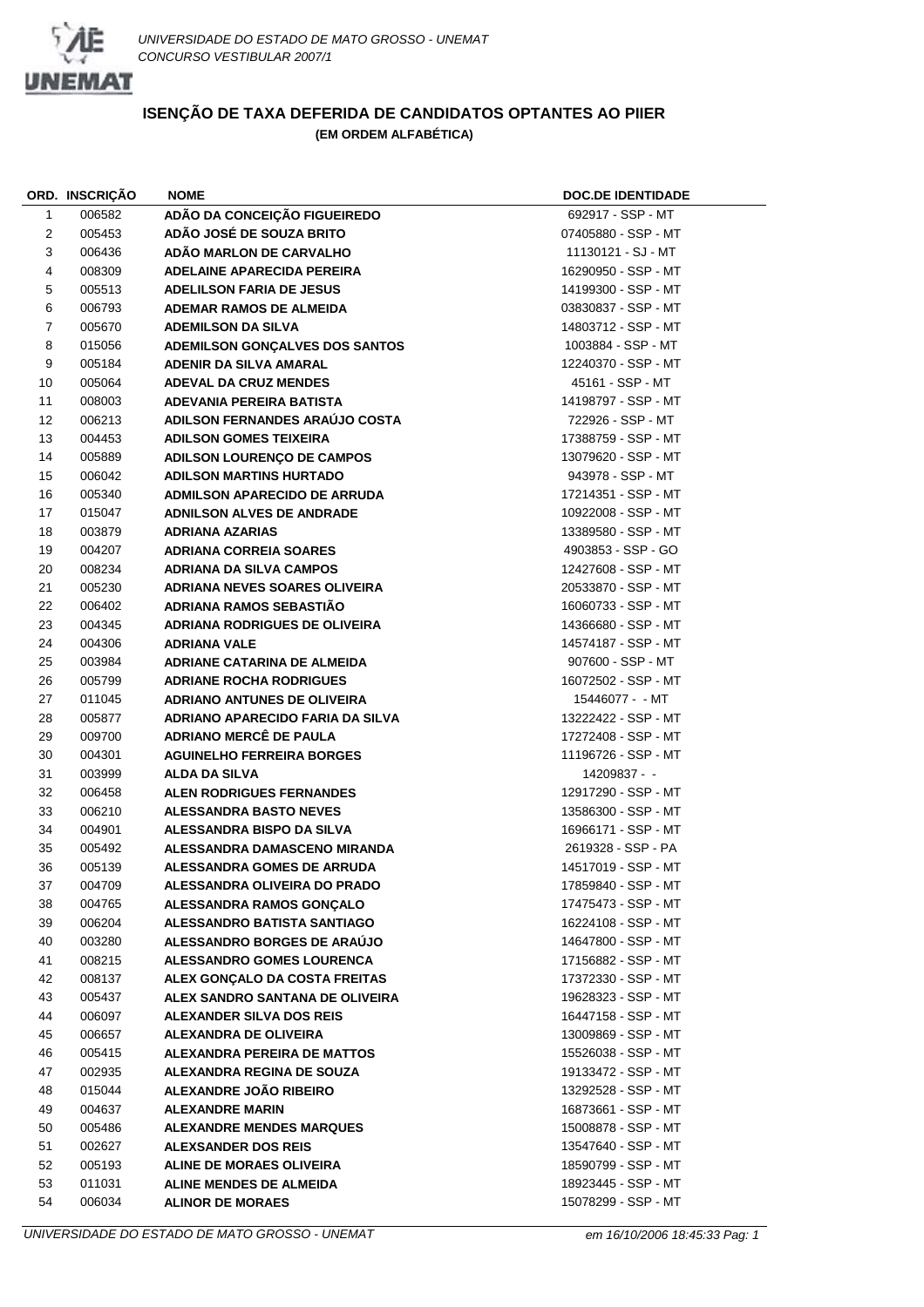

|                         | ORD. INSCRIÇAO | <b>NOME</b>                          | <b>DOC.DE IDENTIDADE</b> |
|-------------------------|----------------|--------------------------------------|--------------------------|
| $\mathbf{1}$            | 006582         | ADÃO DA CONCEIÇÃO FIGUEIREDO         | 692917 - SSP - MT        |
| $\overline{\mathbf{c}}$ | 005453         | ADÃO JOSÉ DE SOUZA BRITO             | 07405880 - SSP - MT      |
| 3                       | 006436         | ADÃO MARLON DE CARVALHO              | 11130121 - SJ - MT       |
| 4                       | 008309         | <b>ADELAINE APARECIDA PEREIRA</b>    | 16290950 - SSP - MT      |
| 5                       | 005513         | <b>ADELILSON FARIA DE JESUS</b>      | 14199300 - SSP - MT      |
| 6                       | 006793         | <b>ADEMAR RAMOS DE ALMEIDA</b>       | 03830837 - SSP - MT      |
| $\overline{7}$          | 005670         | <b>ADEMILSON DA SILVA</b>            | 14803712 - SSP - MT      |
| 8                       | 015056         | ADEMILSON GONÇALVES DOS SANTOS       | 1003884 - SSP - MT       |
| 9                       | 005184         | ADENIR DA SILVA AMARAL               | 12240370 - SSP - MT      |
| 10                      | 005064         | <b>ADEVAL DA CRUZ MENDES</b>         | 45161 - SSP - MT         |
| 11                      | 008003         | ADEVANIA PEREIRA BATISTA             | 14198797 - SSP - MT      |
| 12                      | 006213         | ADILSON FERNANDES ARAÚJO COSTA       | 722926 - SSP - MT        |
| 13                      | 004453         | <b>ADILSON GOMES TEIXEIRA</b>        | 17388759 - SSP - MT      |
| 14                      | 005889         | <b>ADILSON LOURENÇO DE CAMPOS</b>    | 13079620 - SSP - MT      |
| 15                      | 006042         | <b>ADILSON MARTINS HURTADO</b>       | 943978 - SSP - MT        |
| 16                      | 005340         | <b>ADMILSON APARECIDO DE ARRUDA</b>  | 17214351 - SSP - MT      |
| 17                      | 015047         | <b>ADNILSON ALVES DE ANDRADE</b>     | 10922008 - SSP - MT      |
| 18                      | 003879         | <b>ADRIANA AZARIAS</b>               | 13389580 - SSP - MT      |
| 19                      | 004207         | <b>ADRIANA CORREIA SOARES</b>        | 4903853 - SSP - GO       |
| 20                      | 008234         | <b>ADRIANA DA SILVA CAMPOS</b>       | 12427608 - SSP - MT      |
| 21                      | 005230         | <b>ADRIANA NEVES SOARES OLIVEIRA</b> | 20533870 - SSP - MT      |
| 22                      | 006402         | ADRIANA RAMOS SEBASTIÃO              | 16060733 - SSP - MT      |
| 23                      | 004345         | <b>ADRIANA RODRIGUES DE OLIVEIRA</b> | 14366680 - SSP - MT      |
| 24                      | 004306         | <b>ADRIANA VALE</b>                  | 14574187 - SSP - MT      |
| 25                      | 003984         | <b>ADRIANE CATARINA DE ALMEIDA</b>   | 907600 - SSP - MT        |
| 26                      | 005799         | <b>ADRIANE ROCHA RODRIGUES</b>       | 16072502 - SSP - MT      |
| 27                      | 011045         | <b>ADRIANO ANTUNES DE OLIVEIRA</b>   | 15446077 - - MT          |
| 28                      | 005877         | ADRIANO APARECIDO FARIA DA SILVA     | 13222422 - SSP - MT      |
| 29                      | 009700         | <b>ADRIANO MERCÊ DE PAULA</b>        | 17272408 - SSP - MT      |
| 30                      | 004301         | <b>AGUINELHO FERREIRA BORGES</b>     | 11196726 - SSP - MT      |
| 31                      | 003999         | <b>ALDA DA SILVA</b>                 | 14209837 - -             |
| 32                      | 006458         | <b>ALEN RODRIGUES FERNANDES</b>      | 12917290 - SSP - MT      |
| 33                      | 006210         | <b>ALESSANDRA BASTO NEVES</b>        | 13586300 - SSP - MT      |
| 34                      | 004901         | ALESSANDRA BISPO DA SILVA            | 16966171 - SSP - MT      |
| 35                      | 005492         | ALESSANDRA DAMASCENO MIRANDA         | 2619328 - SSP - PA       |
| 36                      | 005139         | <b>ALESSANDRA GOMES DE ARRUDA</b>    | 14517019 - SSP - MT      |
| 37                      | 004709         | ALESSANDRA OLIVEIRA DO PRADO         | 17859840 - SSP - MT      |
| 38                      | 004765         | ALESSANDRA RAMOS GONÇALO             | 17475473 - SSP - MT      |
| 39                      | 006204         | <b>ALESSANDRO BATISTA SANTIAGO</b>   | 16224108 - SSP - MT      |
| 40                      | 003280         | ALESSANDRO BORGES DE ARAÚJO          | 14647800 - SSP - MT      |
| 41                      | 008215         | <b>ALESSANDRO GOMES LOURENCA</b>     | 17156882 - SSP - MT      |
| 42                      | 008137         | ALEX GONÇALO DA COSTA FREITAS        | 17372330 - SSP - MT      |
| 43                      | 005437         | ALEX SANDRO SANTANA DE OLIVEIRA      | 19628323 - SSP - MT      |
| 44                      | 006097         | ALEXANDER SILVA DOS REIS             | 16447158 - SSP - MT      |
| 45                      | 006657         | <b>ALEXANDRA DE OLIVEIRA</b>         | 13009869 - SSP - MT      |
| 46                      | 005415         | ALEXANDRA PEREIRA DE MATTOS          | 15526038 - SSP - MT      |
| 47                      | 002935         | ALEXANDRA REGINA DE SOUZA            | 19133472 - SSP - MT      |
| 48                      | 015044         | ALEXANDRE JOÃO RIBEIRO               | 13292528 - SSP - MT      |
| 49                      | 004637         | <b>ALEXANDRE MARIN</b>               | 16873661 - SSP - MT      |
| 50                      | 005486         | <b>ALEXANDRE MENDES MARQUES</b>      | 15008878 - SSP - MT      |
| 51                      | 002627         | <b>ALEXSANDER DOS REIS</b>           | 13547640 - SSP - MT      |
| 52                      | 005193         | ALINE DE MORAES OLIVEIRA             | 18590799 - SSP - MT      |
| 53                      | 011031         | ALINE MENDES DE ALMEIDA              | 18923445 - SSP - MT      |
| 54                      | 006034         | <b>ALINOR DE MORAES</b>              | 15078299 - SSP - MT      |
|                         |                |                                      |                          |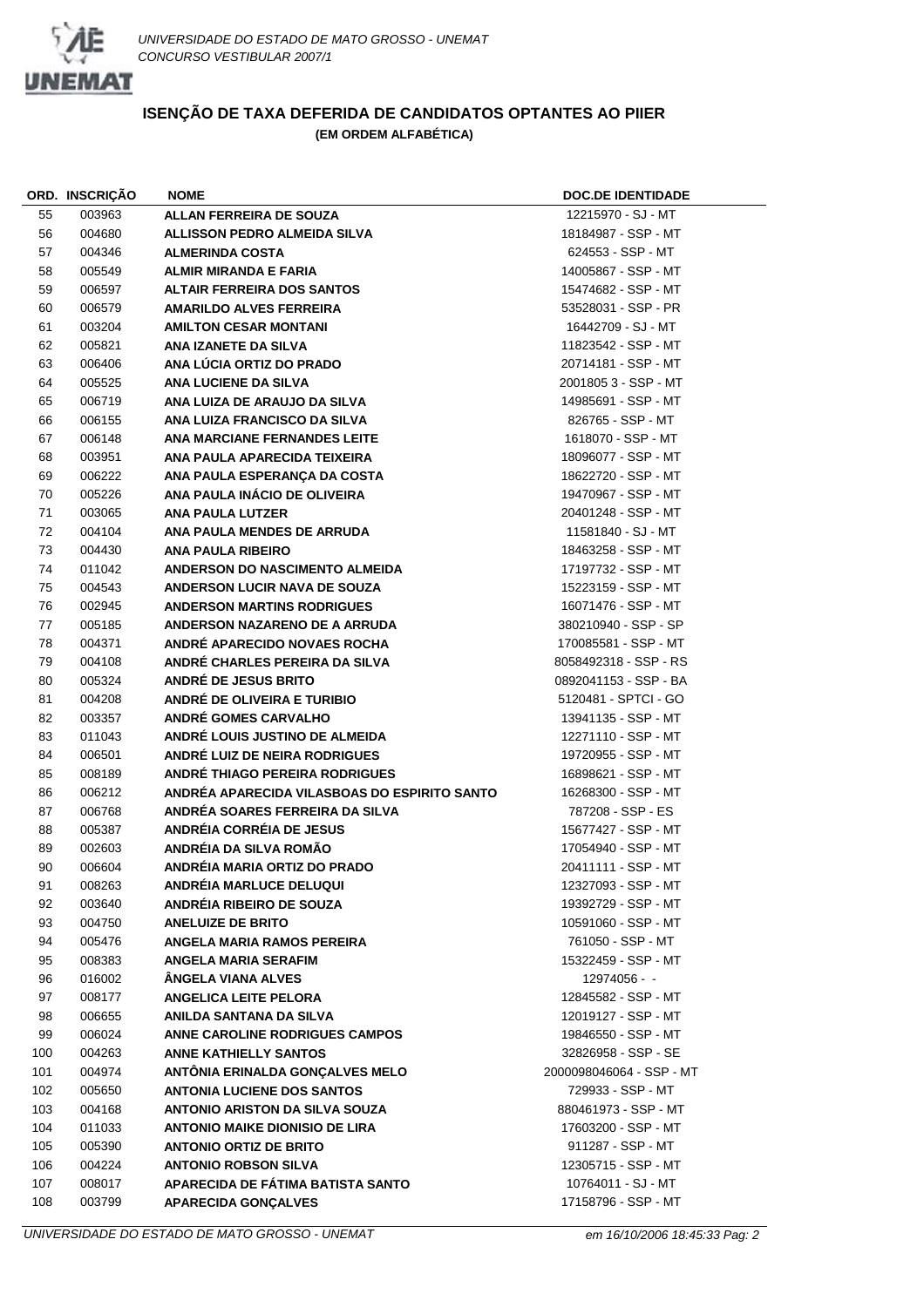

|     | ORD. INSCRIÇAO   | <b>NOME</b>                                  | <b>DOC.DE IDENTIDADE</b> |
|-----|------------------|----------------------------------------------|--------------------------|
| 55  | 003963           | <b>ALLAN FERREIRA DE SOUZA</b>               | 12215970 - SJ - MT       |
| 56  | 004680           | <b>ALLISSON PEDRO ALMEIDA SILVA</b>          | 18184987 - SSP - MT      |
| 57  | 004346           | <b>ALMERINDA COSTA</b>                       | 624553 - SSP - MT        |
| 58  | 005549           | <b>ALMIR MIRANDA E FARIA</b>                 | 14005867 - SSP - MT      |
| 59  | 006597           | <b>ALTAIR FERREIRA DOS SANTOS</b>            | 15474682 - SSP - MT      |
| 60  | 006579           | <b>AMARILDO ALVES FERREIRA</b>               | 53528031 - SSP - PR      |
| 61  | 003204           | <b>AMILTON CESAR MONTANI</b>                 | 16442709 - SJ - MT       |
| 62  | 005821           | ANA IZANETE DA SILVA                         | 11823542 - SSP - MT      |
| 63  | 006406           | ANA LÚCIA ORTIZ DO PRADO                     | 20714181 - SSP - MT      |
| 64  | 005525           | <b>ANA LUCIENE DA SILVA</b>                  | 2001805 3 - SSP - MT     |
| 65  | 006719           | ANA LUIZA DE ARAUJO DA SILVA                 | 14985691 - SSP - MT      |
| 66  | 006155           | ANA LUIZA FRANCISCO DA SILVA                 | 826765 - SSP - MT        |
| 67  | 006148           | ANA MARCIANE FERNANDES LEITE                 | 1618070 - SSP - MT       |
| 68  | 003951           | ANA PAULA APARECIDA TEIXEIRA                 | 18096077 - SSP - MT      |
| 69  | 006222           | ANA PAULA ESPERANÇA DA COSTA                 | 18622720 - SSP - MT      |
| 70  | 005226           | ANA PAULA INÁCIO DE OLIVEIRA                 | 19470967 - SSP - MT      |
| 71  | 003065           | <b>ANA PAULA LUTZER</b>                      | 20401248 - SSP - MT      |
| 72  | 004104           | ANA PAULA MENDES DE ARRUDA                   | 11581840 - SJ - MT       |
| 73  | 004430           | <b>ANA PAULA RIBEIRO</b>                     | 18463258 - SSP - MT      |
| 74  | 011042           | ANDERSON DO NASCIMENTO ALMEIDA               | 17197732 - SSP - MT      |
| 75  | 004543           | <b>ANDERSON LUCIR NAVA DE SOUZA</b>          | 15223159 - SSP - MT      |
| 76  | 002945           | <b>ANDERSON MARTINS RODRIGUES</b>            | 16071476 - SSP - MT      |
| 77  | 005185           | ANDERSON NAZARENO DE A ARRUDA                | 380210940 - SSP - SP     |
| 78  | 004371           | ANDRÉ APARECIDO NOVAES ROCHA                 | 170085581 - SSP - MT     |
| 79  | 004108           | ANDRÉ CHARLES PEREIRA DA SILVA               | 8058492318 - SSP - RS    |
| 80  | 005324           | <b>ANDRÉ DE JESUS BRITO</b>                  | 0892041153 - SSP - BA    |
| 81  | 004208           | ANDRÉ DE OLIVEIRA E TURIBIO                  | 5120481 - SPTCI - GO     |
| 82  | 003357           | <b>ANDRÉ GOMES CARVALHO</b>                  | 13941135 - SSP - MT      |
| 83  | 011043           | ANDRÉ LOUIS JUSTINO DE ALMEIDA               | 12271110 - SSP - MT      |
| 84  | 006501           | ANDRÉ LUIZ DE NEIRA RODRIGUES                | 19720955 - SSP - MT      |
| 85  | 008189           | ANDRÉ THIAGO PEREIRA RODRIGUES               | 16898621 - SSP - MT      |
| 86  | 006212           | ANDRÉA APARECIDA VILASBOAS DO ESPIRITO SANTO | 16268300 - SSP - MT      |
| 87  | 006768           | ANDRÉA SOARES FERREIRA DA SILVA              | 787208 - SSP - ES        |
| 88  |                  | ANDRÉIA CORRÉIA DE JESUS                     | 15677427 - SSP - MT      |
| 89  | 005387<br>002603 | ANDRÉIA DA SILVA ROMÃO                       | 17054940 - SSP - MT      |
| 90  |                  | ANDRÉIA MARIA ORTIZ DO PRADO                 | 20411111 - SSP - MT      |
|     | 006604           |                                              |                          |
| 91  | 008263           | ANDRÉIA MARLUCE DELUQUI                      | 12327093 - SSP - MT      |
| 92  | 003640           | ANDREIA RIBEIRO DE SOUZA                     | 19392729 - SSP - MT      |
| 93  | 004750           | <b>ANELUIZE DE BRITO</b>                     | 10591060 - SSP - MT      |
| 94  | 005476           | ANGELA MARIA RAMOS PEREIRA                   | 761050 - SSP - MT        |
| 95  | 008383           | <b>ANGELA MARIA SERAFIM</b>                  | 15322459 - SSP - MT      |
| 96  | 016002           | <b>ANGELA VIANA ALVES</b>                    | 12974056 - -             |
| 97  | 008177           | <b>ANGELICA LEITE PELORA</b>                 | 12845582 - SSP - MT      |
| 98  | 006655           | ANILDA SANTANA DA SILVA                      | 12019127 - SSP - MT      |
| 99  | 006024           | ANNE CAROLINE RODRIGUES CAMPOS               | 19846550 - SSP - MT      |
| 100 | 004263           | <b>ANNE KATHIELLY SANTOS</b>                 | 32826958 - SSP - SE      |
| 101 | 004974           | ANTONIA ERINALDA GONÇALVES MELO              | 2000098046064 - SSP - MT |
| 102 | 005650           | <b>ANTONIA LUCIENE DOS SANTOS</b>            | 729933 - SSP - MT        |
| 103 | 004168           | <b>ANTONIO ARISTON DA SILVA SOUZA</b>        | 880461973 - SSP - MT     |
| 104 | 011033           | <b>ANTONIO MAIKE DIONISIO DE LIRA</b>        | 17603200 - SSP - MT      |
| 105 | 005390           | <b>ANTONIO ORTIZ DE BRITO</b>                | 911287 - SSP - MT        |
| 106 | 004224           | <b>ANTONIO ROBSON SILVA</b>                  | 12305715 - SSP - MT      |
| 107 | 008017           | APARECIDA DE FÁTIMA BATISTA SANTO            | 10764011 - SJ - MT       |
| 108 | 003799           | <b>APARECIDA GONÇALVES</b>                   | 17158796 - SSP - MT      |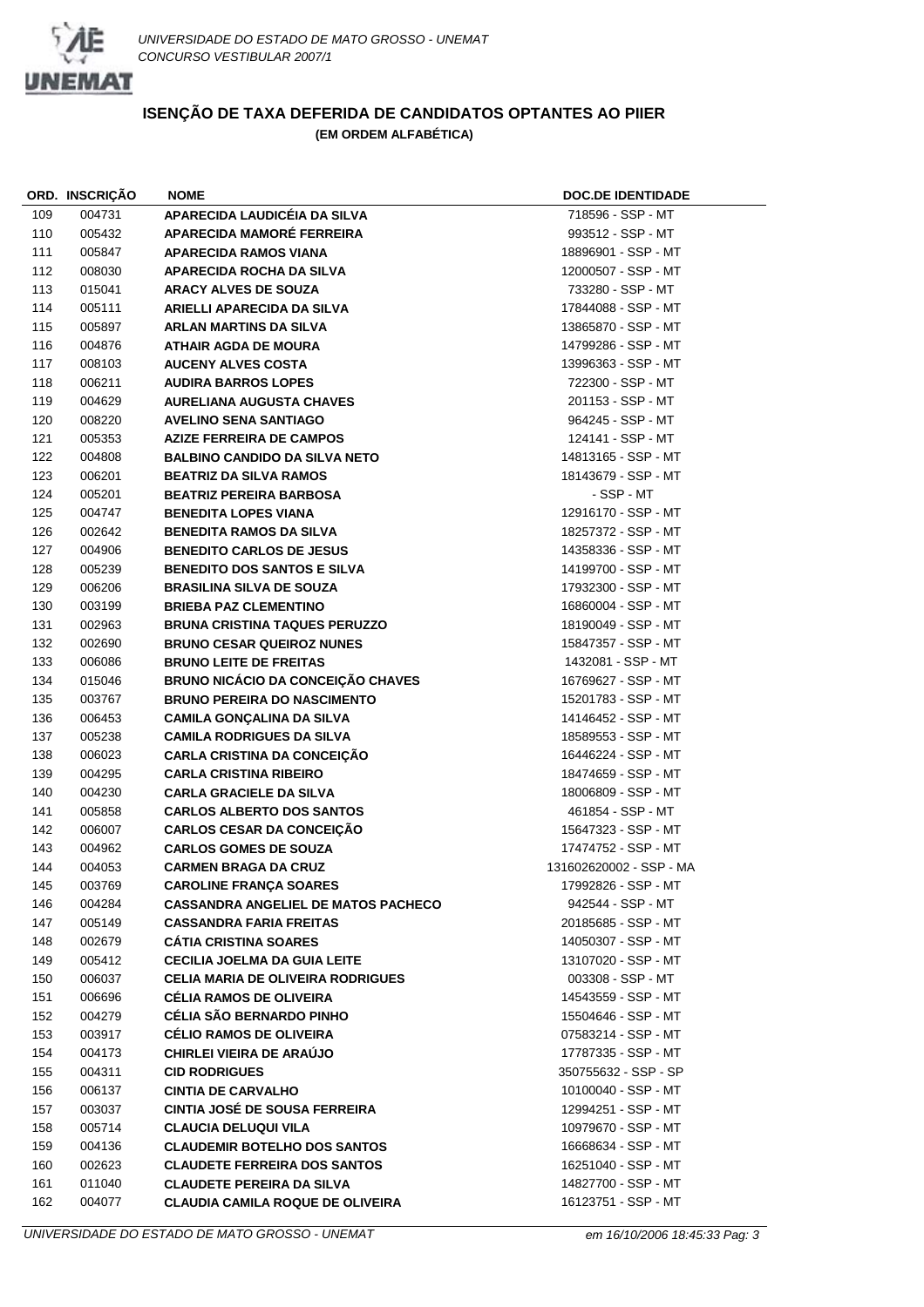

|     | ORD. INSCRIÇÃO | <b>NOME</b>                                | <b>DOC.DE IDENTIDADE</b> |
|-----|----------------|--------------------------------------------|--------------------------|
| 109 | 004731         | APARECIDA LAUDICÉIA DA SILVA               | 718596 - SSP - MT        |
| 110 | 005432         | APARECIDA MAMORÉ FERREIRA                  | 993512 - SSP - MT        |
| 111 | 005847         | <b>APARECIDA RAMOS VIANA</b>               | 18896901 - SSP - MT      |
| 112 | 008030         | APARECIDA ROCHA DA SILVA                   | 12000507 - SSP - MT      |
| 113 | 015041         | <b>ARACY ALVES DE SOUZA</b>                | 733280 - SSP - MT        |
| 114 | 005111         | ARIELLI APARECIDA DA SILVA                 | 17844088 - SSP - MT      |
| 115 | 005897         | <b>ARLAN MARTINS DA SILVA</b>              | 13865870 - SSP - MT      |
| 116 | 004876         | <b>ATHAIR AGDA DE MOURA</b>                | 14799286 - SSP - MT      |
| 117 | 008103         | <b>AUCENY ALVES COSTA</b>                  | 13996363 - SSP - MT      |
| 118 | 006211         | <b>AUDIRA BARROS LOPES</b>                 | 722300 - SSP - MT        |
| 119 | 004629         | <b>AURELIANA AUGUSTA CHAVES</b>            | 201153 - SSP - MT        |
| 120 | 008220         | <b>AVELINO SENA SANTIAGO</b>               | 964245 - SSP - MT        |
| 121 | 005353         | <b>AZIZE FERREIRA DE CAMPOS</b>            | 124141 - SSP - MT        |
| 122 | 004808         | <b>BALBINO CANDIDO DA SILVA NETO</b>       | 14813165 - SSP - MT      |
| 123 | 006201         | <b>BEATRIZ DA SILVA RAMOS</b>              | 18143679 - SSP - MT      |
| 124 | 005201         | <b>BEATRIZ PEREIRA BARBOSA</b>             | - SSP - MT               |
| 125 | 004747         | <b>BENEDITA LOPES VIANA</b>                | 12916170 - SSP - MT      |
| 126 | 002642         | <b>BENEDITA RAMOS DA SILVA</b>             | 18257372 - SSP - MT      |
| 127 | 004906         | <b>BENEDITO CARLOS DE JESUS</b>            | 14358336 - SSP - MT      |
| 128 | 005239         | <b>BENEDITO DOS SANTOS E SILVA</b>         | 14199700 - SSP - MT      |
| 129 | 006206         | <b>BRASILINA SILVA DE SOUZA</b>            | 17932300 - SSP - MT      |
| 130 | 003199         | <b>BRIEBA PAZ CLEMENTINO</b>               | 16860004 - SSP - MT      |
| 131 | 002963         | <b>BRUNA CRISTINA TAQUES PERUZZO</b>       | 18190049 - SSP - MT      |
| 132 | 002690         | <b>BRUNO CESAR QUEIROZ NUNES</b>           | 15847357 - SSP - MT      |
| 133 | 006086         | <b>BRUNO LEITE DE FREITAS</b>              | 1432081 - SSP - MT       |
| 134 | 015046         | <b>BRUNO NICÁCIO DA CONCEIÇÃO CHAVES</b>   | 16769627 - SSP - MT      |
| 135 | 003767         | <b>BRUNO PEREIRA DO NASCIMENTO</b>         | 15201783 - SSP - MT      |
| 136 | 006453         | <b>CAMILA GONÇALINA DA SILVA</b>           | 14146452 - SSP - MT      |
| 137 | 005238         | <b>CAMILA RODRIGUES DA SILVA</b>           | 18589553 - SSP - MT      |
| 138 | 006023         | <b>CARLA CRISTINA DA CONCEIÇÃO</b>         | 16446224 - SSP - MT      |
| 139 | 004295         | <b>CARLA CRISTINA RIBEIRO</b>              | 18474659 - SSP - MT      |
| 140 | 004230         | <b>CARLA GRACIELE DA SILVA</b>             | 18006809 - SSP - MT      |
| 141 | 005858         | <b>CARLOS ALBERTO DOS SANTOS</b>           | 461854 - SSP - MT        |
| 142 | 006007         | <b>CARLOS CESAR DA CONCEIÇÃO</b>           | 15647323 - SSP - MT      |
| 143 | 004962         | <b>CARLOS GOMES DE SOUZA</b>               | 17474752 - SSP - MT      |
| 144 | 004053         | <b>CARMEN BRAGA DA CRUZ</b>                | 131602620002 - SSP - MA  |
| 145 | 003769         | <b>CAROLINE FRANÇA SOARES</b>              | 17992826 - SSP - MT      |
| 146 | 004284         | <b>CASSANDRA ANGELIEL DE MATOS PACHECO</b> | 942544 - SSP - MT        |
| 147 | 005149         | <b>CASSANDRA FARIA FREITAS</b>             | 20185685 - SSP - MT      |
| 148 | 002679         | <b>CATIA CRISTINA SOARES</b>               | 14050307 - SSP - MT      |
| 149 | 005412         | <b>CECILIA JOELMA DA GUIA LEITE</b>        | 13107020 - SSP - MT      |
| 150 | 006037         | CELIA MARIA DE OLIVEIRA RODRIGUES          | 003308 - SSP - MT        |
| 151 | 006696         | CÉLIA RAMOS DE OLIVEIRA                    | 14543559 - SSP - MT      |
| 152 | 004279         | <b>CÉLIA SÃO BERNARDO PINHO</b>            | 15504646 - SSP - MT      |
| 153 | 003917         | <b>CELIO RAMOS DE OLIVEIRA</b>             | 07583214 - SSP - MT      |
| 154 | 004173         | CHIRLEI VIEIRA DE ARAÚJO                   | 17787335 - SSP - MT      |
| 155 | 004311         | <b>CID RODRIGUES</b>                       | 350755632 - SSP - SP     |
| 156 | 006137         | <b>CINTIA DE CARVALHO</b>                  | 10100040 - SSP - MT      |
| 157 | 003037         | <b>CINTIA JOSÉ DE SOUSA FERREIRA</b>       | 12994251 - SSP - MT      |
| 158 | 005714         | <b>CLAUCIA DELUQUI VILA</b>                | 10979670 - SSP - MT      |
| 159 | 004136         | <b>CLAUDEMIR BOTELHO DOS SANTOS</b>        | 16668634 - SSP - MT      |
| 160 | 002623         | <b>CLAUDETE FERREIRA DOS SANTOS</b>        | 16251040 - SSP - MT      |
| 161 | 011040         | <b>CLAUDETE PEREIRA DA SILVA</b>           | 14827700 - SSP - MT      |
| 162 | 004077         | <b>CLAUDIA CAMILA ROQUE DE OLIVEIRA</b>    | 16123751 - SSP - MT      |
|     |                |                                            |                          |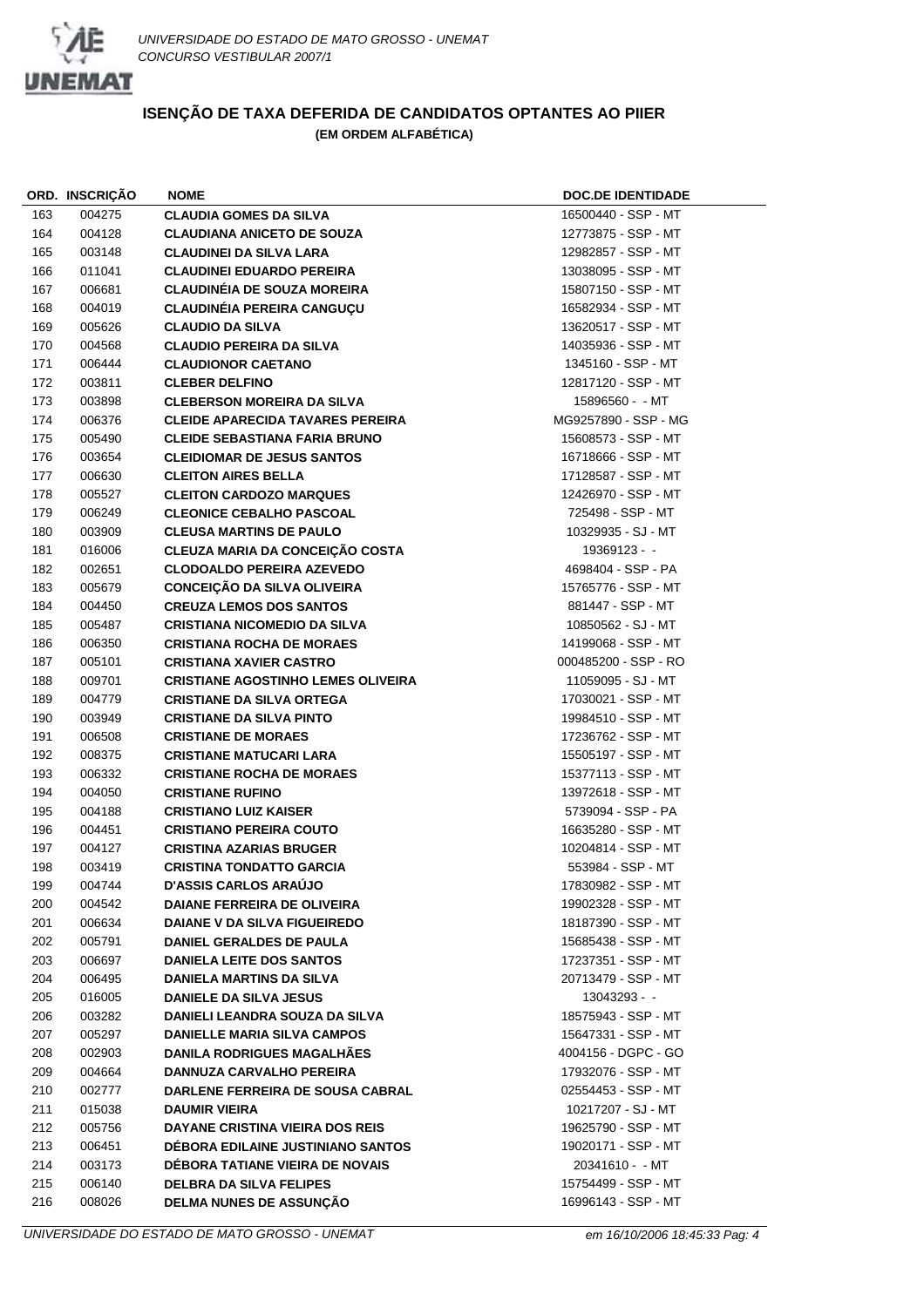

|     | ORD. INSCRIÇAO | <b>NOME</b>                               | <b>DOC.DE IDENTIDADE</b> |
|-----|----------------|-------------------------------------------|--------------------------|
| 163 | 004275         | <b>CLAUDIA GOMES DA SILVA</b>             | 16500440 - SSP - MT      |
| 164 | 004128         | <b>CLAUDIANA ANICETO DE SOUZA</b>         | 12773875 - SSP - MT      |
| 165 | 003148         | <b>CLAUDINEI DA SILVA LARA</b>            | 12982857 - SSP - MT      |
| 166 | 011041         | <b>CLAUDINEI EDUARDO PEREIRA</b>          | 13038095 - SSP - MT      |
| 167 | 006681         | <b>CLAUDINÉIA DE SOUZA MOREIRA</b>        | 15807150 - SSP - MT      |
| 168 | 004019         | <b>CLAUDINÉIA PEREIRA CANGUÇU</b>         | 16582934 - SSP - MT      |
| 169 | 005626         | <b>CLAUDIO DA SILVA</b>                   | 13620517 - SSP - MT      |
| 170 | 004568         | <b>CLAUDIO PEREIRA DA SILVA</b>           | 14035936 - SSP - MT      |
| 171 | 006444         | <b>CLAUDIONOR CAETANO</b>                 | 1345160 - SSP - MT       |
| 172 | 003811         | <b>CLEBER DELFINO</b>                     | 12817120 - SSP - MT      |
| 173 | 003898         | <b>CLEBERSON MOREIRA DA SILVA</b>         | 15896560 - MT            |
| 174 | 006376         | <b>CLEIDE APARECIDA TAVARES PEREIRA</b>   | MG9257890 - SSP - MG     |
| 175 | 005490         | <b>CLEIDE SEBASTIANA FARIA BRUNO</b>      | 15608573 - SSP - MT      |
| 176 | 003654         | <b>CLEIDIOMAR DE JESUS SANTOS</b>         | 16718666 - SSP - MT      |
| 177 | 006630         | <b>CLEITON AIRES BELLA</b>                | 17128587 - SSP - MT      |
| 178 | 005527         | <b>CLEITON CARDOZO MARQUES</b>            | 12426970 - SSP - MT      |
| 179 | 006249         | <b>CLEONICE CEBALHO PASCOAL</b>           | 725498 - SSP - MT        |
| 180 | 003909         | <b>CLEUSA MARTINS DE PAULO</b>            | 10329935 - SJ - MT       |
| 181 | 016006         | CLEUZA MARIA DA CONCEIÇÃO COSTA           | 19369123 - -             |
| 182 | 002651         | <b>CLODOALDO PEREIRA AZEVEDO</b>          | 4698404 - SSP - PA       |
| 183 | 005679         | <b>CONCEIÇÃO DA SILVA OLIVEIRA</b>        | 15765776 - SSP - MT      |
| 184 | 004450         | <b>CREUZA LEMOS DOS SANTOS</b>            | 881447 - SSP - MT        |
| 185 | 005487         | <b>CRISTIANA NICOMEDIO DA SILVA</b>       | 10850562 - SJ - MT       |
| 186 | 006350         | <b>CRISTIANA ROCHA DE MORAES</b>          | 14199068 - SSP - MT      |
| 187 | 005101         | <b>CRISTIANA XAVIER CASTRO</b>            | 000485200 - SSP - RO     |
| 188 | 009701         | <b>CRISTIANE AGOSTINHO LEMES OLIVEIRA</b> | 11059095 - SJ - MT       |
| 189 | 004779         | <b>CRISTIANE DA SILVA ORTEGA</b>          | 17030021 - SSP - MT      |
| 190 | 003949         | <b>CRISTIANE DA SILVA PINTO</b>           | 19984510 - SSP - MT      |
| 191 | 006508         | <b>CRISTIANE DE MORAES</b>                | 17236762 - SSP - MT      |
| 192 | 008375         | <b>CRISTIANE MATUCARI LARA</b>            | 15505197 - SSP - MT      |
| 193 | 006332         | <b>CRISTIANE ROCHA DE MORAES</b>          | 15377113 - SSP - MT      |
| 194 | 004050         | <b>CRISTIANE RUFINO</b>                   | 13972618 - SSP - MT      |
| 195 | 004188         | <b>CRISTIANO LUIZ KAISER</b>              | 5739094 - SSP - PA       |
| 196 | 004451         | <b>CRISTIANO PEREIRA COUTO</b>            | 16635280 - SSP - MT      |
| 197 | 004127         | <b>CRISTINA AZARIAS BRUGER</b>            | 10204814 - SSP - MT      |
| 198 | 003419         | <b>CRISTINA TONDATTO GARCIA</b>           | 553984 - SSP - MT        |
| 199 | 004744         | <b>D'ASSIS CARLOS ARAÚJO</b>              | 17830982 - SSP - MT      |
| 200 | 004542         | <b>DAIANE FERREIRA DE OLIVEIRA</b>        | 19902328 - SSP - MT      |
| 201 | 006634         | <b>DAIANE V DA SILVA FIGUEIREDO</b>       | 18187390 - SSP - MT      |
| 202 | 005791         | DANIEL GERALDES DE PAULA                  | 15685438 - SSP - MT      |
| 203 | 006697         | <b>DANIELA LEITE DOS SANTOS</b>           | 17237351 - SSP - MT      |
| 204 | 006495         | <b>DANIELA MARTINS DA SILVA</b>           | 20713479 - SSP - MT      |
| 205 | 016005         | <b>DANIELE DA SILVA JESUS</b>             | 13043293 - -             |
| 206 | 003282         | <b>DANIELI LEANDRA SOUZA DA SILVA</b>     | 18575943 - SSP - MT      |
| 207 | 005297         | <b>DANIELLE MARIA SILVA CAMPOS</b>        | 15647331 - SSP - MT      |
| 208 | 002903         | <b>DANILA RODRIGUES MAGALHAES</b>         | 4004156 - DGPC - GO      |
| 209 | 004664         | <b>DANNUZA CARVALHO PEREIRA</b>           | 17932076 - SSP - MT      |
| 210 | 002777         | DARLENE FERREIRA DE SOUSA CABRAL          | 02554453 - SSP - MT      |
| 211 | 015038         | <b>DAUMIR VIEIRA</b>                      | 10217207 - SJ - MT       |
| 212 | 005756         | DAYANE CRISTINA VIEIRA DOS REIS           | 19625790 - SSP - MT      |
| 213 | 006451         | DEBORA EDILAINE JUSTINIANO SANTOS         | 19020171 - SSP - MT      |
| 214 | 003173         | DÉBORA TATIANE VIEIRA DE NOVAIS           | 20341610 - - MT          |
| 215 | 006140         | <b>DELBRA DA SILVA FELIPES</b>            | 15754499 - SSP - MT      |
| 216 | 008026         | DELMA NUNES DE ASSUNÇÃO                   | 16996143 - SSP - MT      |
|     |                |                                           |                          |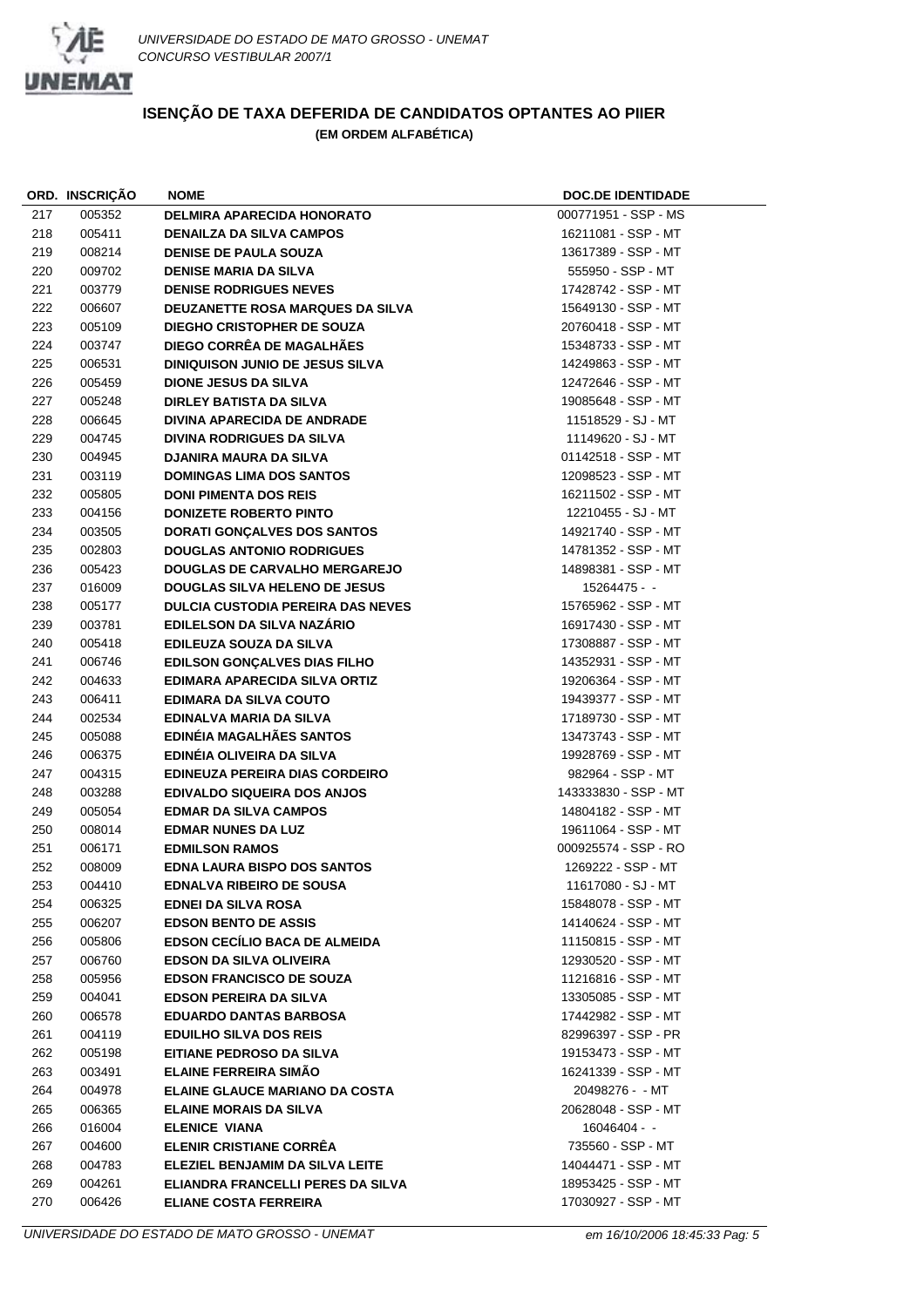

|            | ORD. INSCRIÇAO | <b>NOME</b>                              | <b>DOC.DE IDENTIDADE</b> |
|------------|----------------|------------------------------------------|--------------------------|
| 217        | 005352         | <b>DELMIRA APARECIDA HONORATO</b>        | 000771951 - SSP - MS     |
| 218        | 005411         | <b>DENAILZA DA SILVA CAMPOS</b>          | 16211081 - SSP - MT      |
| 219        | 008214         | <b>DENISE DE PAULA SOUZA</b>             | 13617389 - SSP - MT      |
| 220        | 009702         | <b>DENISE MARIA DA SILVA</b>             | 555950 - SSP - MT        |
| 221        | 003779         | <b>DENISE RODRIGUES NEVES</b>            | 17428742 - SSP - MT      |
| 222        | 006607         | DEUZANETTE ROSA MARQUES DA SILVA         | 15649130 - SSP - MT      |
| 223        | 005109         | <b>DIEGHO CRISTOPHER DE SOUZA</b>        | 20760418 - SSP - MT      |
| 224        | 003747         | <b>DIEGO CORRÊA DE MAGALHÃES</b>         | 15348733 - SSP - MT      |
| 225        | 006531         | <b>DINIQUISON JUNIO DE JESUS SILVA</b>   | 14249863 - SSP - MT      |
| 226        | 005459         | <b>DIONE JESUS DA SILVA</b>              | 12472646 - SSP - MT      |
| 227        | 005248         | <b>DIRLEY BATISTA DA SILVA</b>           | 19085648 - SSP - MT      |
| 228        | 006645         | <b>DIVINA APARECIDA DE ANDRADE</b>       | 11518529 - SJ - MT       |
| 229        | 004745         | <b>DIVINA RODRIGUES DA SILVA</b>         | 11149620 - SJ - MT       |
| 230        | 004945         | <b>DJANIRA MAURA DA SILVA</b>            | 01142518 - SSP - MT      |
| 231        | 003119         | <b>DOMINGAS LIMA DOS SANTOS</b>          | 12098523 - SSP - MT      |
| 232        | 005805         | <b>DONI PIMENTA DOS REIS</b>             | 16211502 - SSP - MT      |
| 233        | 004156         | <b>DONIZETE ROBERTO PINTO</b>            | 12210455 - SJ - MT       |
| 234        | 003505         | <b>DORATI GONÇALVES DOS SANTOS</b>       | 14921740 - SSP - MT      |
| 235        | 002803         | <b>DOUGLAS ANTONIO RODRIGUES</b>         | 14781352 - SSP - MT      |
| 236        | 005423         | <b>DOUGLAS DE CARVALHO MERGAREJO</b>     | 14898381 - SSP - MT      |
| 237        | 016009         | <b>DOUGLAS SILVA HELENO DE JESUS</b>     | 15264475 - -             |
| 238        | 005177         | <b>DULCIA CUSTODIA PEREIRA DAS NEVES</b> | 15765962 - SSP - MT      |
| 239        | 003781         | EDILELSON DA SILVA NAZÁRIO               | 16917430 - SSP - MT      |
| 240        | 005418         | EDILEUZA SOUZA DA SILVA                  | 17308887 - SSP - MT      |
| 241        | 006746         | <b>EDILSON GONÇALVES DIAS FILHO</b>      | 14352931 - SSP - MT      |
| 242        | 004633         | EDIMARA APARECIDA SILVA ORTIZ            | 19206364 - SSP - MT      |
| 243        | 006411         | EDIMARA DA SILVA COUTO                   | 19439377 - SSP - MT      |
| 244        | 002534         | EDINALVA MARIA DA SILVA                  | 17189730 - SSP - MT      |
| 245        | 005088         | EDINÉIA MAGALHÃES SANTOS                 | 13473743 - SSP - MT      |
| 246        | 006375         | EDINÉIA OLIVEIRA DA SILVA                | 19928769 - SSP - MT      |
| 247        | 004315         | <b>EDINEUZA PEREIRA DIAS CORDEIRO</b>    | 982964 - SSP - MT        |
| 248        | 003288         | <b>EDIVALDO SIQUEIRA DOS ANJOS</b>       | 143333830 - SSP - MT     |
|            |                | <b>EDMAR DA SILVA CAMPOS</b>             | 14804182 - SSP - MT      |
| 249        | 005054         | <b>EDMAR NUNES DA LUZ</b>                | 19611064 - SSP - MT      |
| 250<br>251 | 008014         | <b>EDMILSON RAMOS</b>                    | 000925574 - SSP - RO     |
|            | 006171         | <b>EDNA LAURA BISPO DOS SANTOS</b>       |                          |
| 252        | 008009         |                                          | 1269222 - SSP - MT       |
| 253        | 004410         | <b>EDNALVA RIBEIRO DE SOUSA</b>          | 11617080 - SJ - MT       |
| 254        | 006325         | EDNEI DA SILVA ROSA                      | 15848078 - SSP - MT      |
| 255        | 006207         | <b>EDSON BENTO DE ASSIS</b>              | 14140624 - SSP - MT      |
| 256        | 005806         | <b>EDSON CECÍLIO BACA DE ALMEIDA</b>     | 11150815 - SSP - MT      |
| 257        | 006760         | <b>EDSON DA SILVA OLIVEIRA</b>           | 12930520 - SSP - MT      |
| 258        | 005956         | <b>EDSON FRANCISCO DE SOUZA</b>          | 11216816 - SSP - MT      |
| 259        | 004041         | <b>EDSON PEREIRA DA SILVA</b>            | 13305085 - SSP - MT      |
| 260        | 006578         | <b>EDUARDO DANTAS BARBOSA</b>            | 17442982 - SSP - MT      |
| 261        | 004119         | <b>EDUILHO SILVA DOS REIS</b>            | 82996397 - SSP - PR      |
| 262        | 005198         | EITIANE PEDROSO DA SILVA                 | 19153473 - SSP - MT      |
| 263        | 003491         | <b>ELAINE FERREIRA SIMAO</b>             | 16241339 - SSP - MT      |
| 264        | 004978         | <b>ELAINE GLAUCE MARIANO DA COSTA</b>    | 20498276 - - MT          |
| 265        | 006365         | <b>ELAINE MORAIS DA SILVA</b>            | 20628048 - SSP - MT      |
| 266        | 016004         | <b>ELENICE VIANA</b>                     | 16046404 - -             |
| 267        | 004600         | <b>ELENIR CRISTIANE CORRÊA</b>           | 735560 - SSP - MT        |
| 268        | 004783         | ELEZIEL BENJAMIM DA SILVA LEITE          | 14044471 - SSP - MT      |
| 269        | 004261         | ELIANDRA FRANCELLI PERES DA SILVA        | 18953425 - SSP - MT      |
| 270        | 006426         | <b>ELIANE COSTA FERREIRA</b>             | 17030927 - SSP - MT      |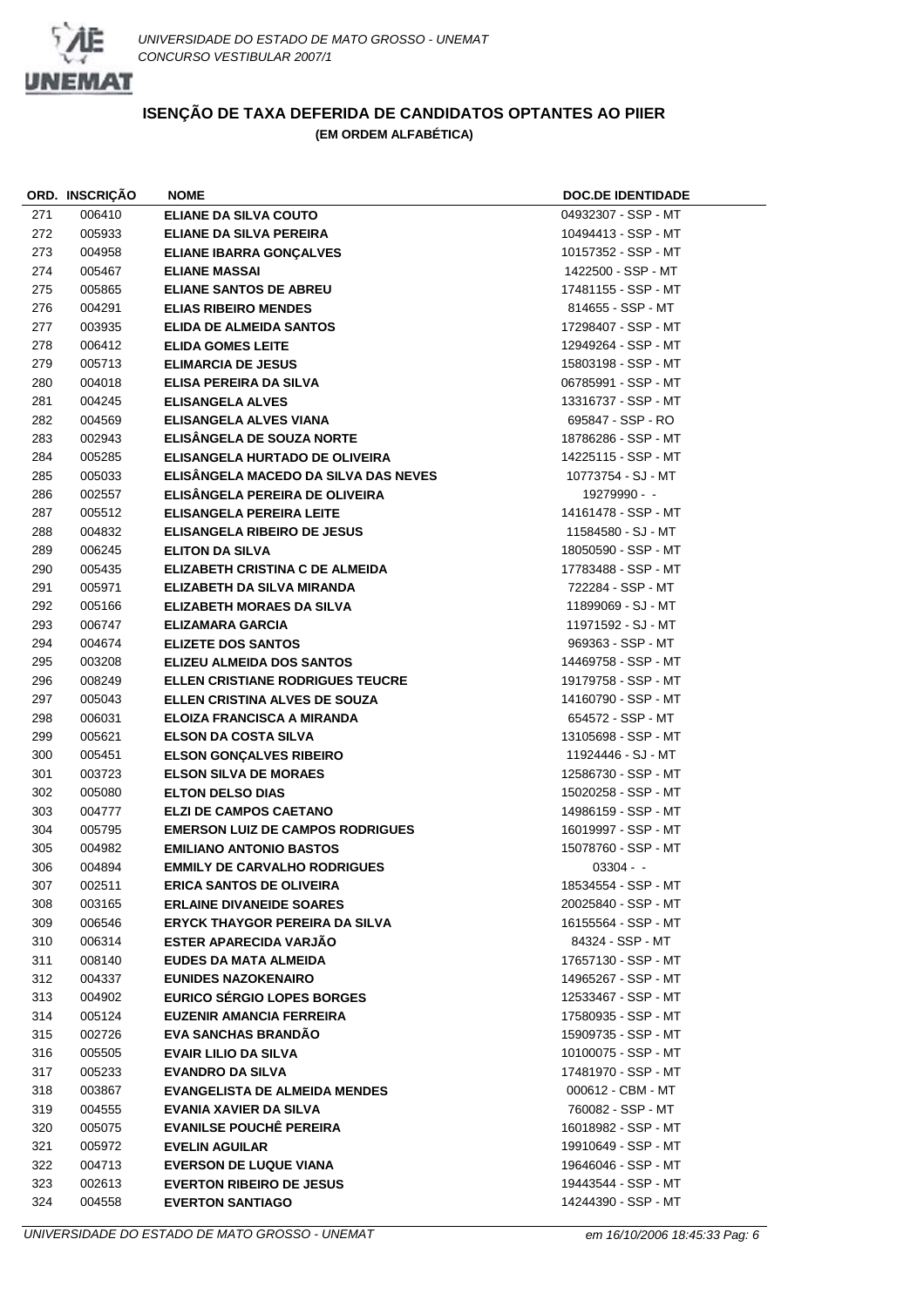

|     | ORD. INSCRIÇAO | <b>NOME</b>                             | <b>DOC.DE IDENTIDADE</b> |
|-----|----------------|-----------------------------------------|--------------------------|
| 271 | 006410         | ELIANE DA SILVA COUTO                   | 04932307 - SSP - MT      |
| 272 | 005933         | ELIANE DA SILVA PEREIRA                 | 10494413 - SSP - MT      |
| 273 | 004958         | ELIANE IBARRA GONÇALVES                 | 10157352 - SSP - MT      |
| 274 | 005467         | <b>ELIANE MASSAI</b>                    | 1422500 - SSP - MT       |
| 275 | 005865         | <b>ELIANE SANTOS DE ABREU</b>           | 17481155 - SSP - MT      |
| 276 | 004291         | <b>ELIAS RIBEIRO MENDES</b>             | 814655 - SSP - MT        |
| 277 | 003935         | ELIDA DE ALMEIDA SANTOS                 | 17298407 - SSP - MT      |
| 278 | 006412         | <b>ELIDA GOMES LEITE</b>                | 12949264 - SSP - MT      |
| 279 | 005713         | <b>ELIMARCIA DE JESUS</b>               | 15803198 - SSP - MT      |
| 280 | 004018         | ELISA PEREIRA DA SILVA                  | 06785991 - SSP - MT      |
| 281 | 004245         | <b>ELISANGELA ALVES</b>                 | 13316737 - SSP - MT      |
| 282 | 004569         | ELISANGELA ALVES VIANA                  | 695847 - SSP - RO        |
| 283 | 002943         | ELISÂNGELA DE SOUZA NORTE               | 18786286 - SSP - MT      |
| 284 | 005285         | ELISANGELA HURTADO DE OLIVEIRA          | 14225115 - SSP - MT      |
| 285 | 005033         | ELISÂNGELA MACEDO DA SILVA DAS NEVES    | 10773754 - SJ - MT       |
| 286 | 002557         | ELISÂNGELA PEREIRA DE OLIVEIRA          | 19279990 - -             |
| 287 | 005512         | <b>ELISANGELA PEREIRA LEITE</b>         | 14161478 - SSP - MT      |
| 288 | 004832         | <b>ELISANGELA RIBEIRO DE JESUS</b>      | 11584580 - SJ - MT       |
| 289 | 006245         | <b>ELITON DA SILVA</b>                  | 18050590 - SSP - MT      |
| 290 | 005435         | ELIZABETH CRISTINA C DE ALMEIDA         | 17783488 - SSP - MT      |
| 291 | 005971         | ELIZABETH DA SILVA MIRANDA              | 722284 - SSP - MT        |
| 292 | 005166         | ELIZABETH MORAES DA SILVA               | 11899069 - SJ - MT       |
| 293 | 006747         | ELIZAMARA GARCIA                        | 11971592 - SJ - MT       |
| 294 | 004674         | <b>ELIZETE DOS SANTOS</b>               | 969363 - SSP - MT        |
| 295 | 003208         | ELIZEU ALMEIDA DOS SANTOS               | 14469758 - SSP - MT      |
| 296 | 008249         | ELLEN CRISTIANE RODRIGUES TEUCRE        | 19179758 - SSP - MT      |
| 297 | 005043         | ELLEN CRISTINA ALVES DE SOUZA           | 14160790 - SSP - MT      |
| 298 | 006031         | <b>ELOIZA FRANCISCA A MIRANDA</b>       | 654572 - SSP - MT        |
| 299 | 005621         | <b>ELSON DA COSTA SILVA</b>             | 13105698 - SSP - MT      |
| 300 | 005451         | <b>ELSON GONÇALVES RIBEIRO</b>          | 11924446 - SJ - MT       |
| 301 | 003723         | <b>ELSON SILVA DE MORAES</b>            | 12586730 - SSP - MT      |
| 302 | 005080         | <b>ELTON DELSO DIAS</b>                 | 15020258 - SSP - MT      |
| 303 | 004777         | <b>ELZI DE CAMPOS CAETANO</b>           | 14986159 - SSP - MT      |
| 304 | 005795         | <b>EMERSON LUIZ DE CAMPOS RODRIGUES</b> | 16019997 - SSP - MT      |
| 305 | 004982         | <b>EMILIANO ANTONIO BASTOS</b>          | 15078760 - SSP - MT      |
| 306 | 004894         | <b>EMMILY DE CARVALHO RODRIGUES</b>     | $03304 - -$              |
| 307 | 002511         | <b>ERICA SANTOS DE OLIVEIRA</b>         | 18534554 - SSP - MT      |
| 308 | 003165         | <b>ERLAINE DIVANEIDE SOARES</b>         | 20025840 - SSP - MT      |
| 309 | 006546         | <b>ERYCK THAYGOR PEREIRA DA SILVA</b>   | 16155564 - SSP - MT      |
| 310 | 006314         | <b>ESTER APARECIDA VARJAO</b>           | 84324 - SSP - MT         |
| 311 | 008140         | <b>EUDES DA MATA ALMEIDA</b>            | 17657130 - SSP - MT      |
| 312 | 004337         | <b>EUNIDES NAZOKENAIRO</b>              | 14965267 - SSP - MT      |
| 313 | 004902         | <b>EURICO SÉRGIO LOPES BORGES</b>       | 12533467 - SSP - MT      |
| 314 | 005124         | EUZENIR AMANCIA FERREIRA                | 17580935 - SSP - MT      |
| 315 | 002726         | <b>EVA SANCHAS BRANDAO</b>              | 15909735 - SSP - MT      |
| 316 | 005505         | EVAIR LILIO DA SILVA                    | 10100075 - SSP - MT      |
| 317 | 005233         | <b>EVANDRO DA SILVA</b>                 | 17481970 - SSP - MT      |
| 318 | 003867         | <b>EVANGELISTA DE ALMEIDA MENDES</b>    | 000612 - CBM - MT        |
| 319 | 004555         | <b>EVANIA XAVIER DA SILVA</b>           | 760082 - SSP - MT        |
| 320 | 005075         | <b>EVANILSE POUCHÊ PEREIRA</b>          | 16018982 - SSP - MT      |
| 321 | 005972         | <b>EVELIN AGUILAR</b>                   | 19910649 - SSP - MT      |
| 322 | 004713         | <b>EVERSON DE LUQUE VIANA</b>           | 19646046 - SSP - MT      |
| 323 | 002613         | <b>EVERTON RIBEIRO DE JESUS</b>         | 19443544 - SSP - MT      |
| 324 | 004558         | <b>EVERTON SANTIAGO</b>                 | 14244390 - SSP - MT      |
|     |                |                                         |                          |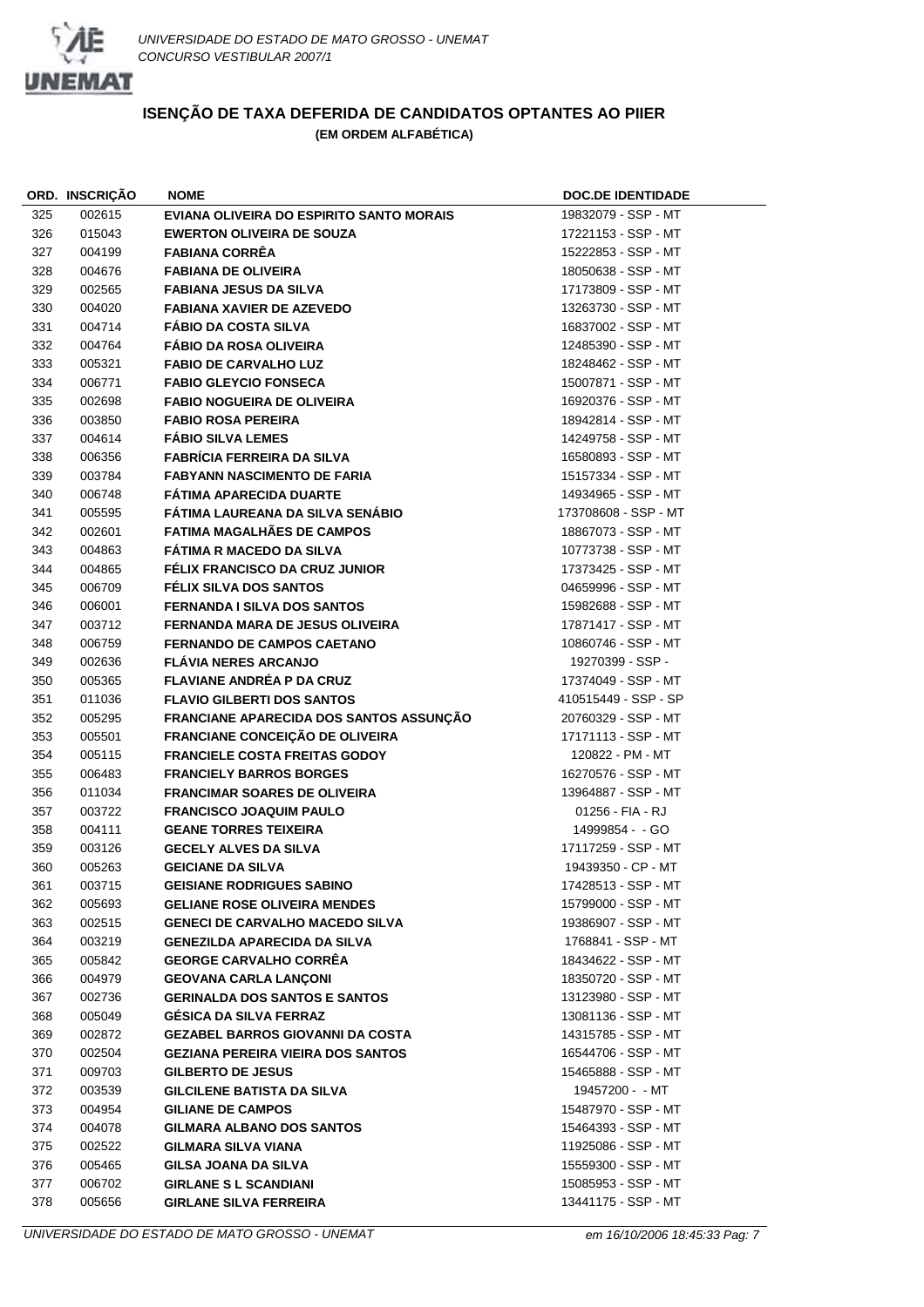

|            | ORD. INSCRIÇAO   | NOME                                     | <b>DOC.DE IDENTIDADE</b>             |
|------------|------------------|------------------------------------------|--------------------------------------|
| 325        | 002615           | EVIANA OLIVEIRA DO ESPIRITO SANTO MORAIS | 19832079 - SSP - MT                  |
| 326        | 015043           | <b>EWERTON OLIVEIRA DE SOUZA</b>         | 17221153 - SSP - MT                  |
| 327        | 004199           | <b>FABIANA CORRÊA</b>                    | 15222853 - SSP - MT                  |
| 328        | 004676           | <b>FABIANA DE OLIVEIRA</b>               | 18050638 - SSP - MT                  |
| 329        | 002565           | <b>FABIANA JESUS DA SILVA</b>            | 17173809 - SSP - MT                  |
| 330        | 004020           | <b>FABIANA XAVIER DE AZEVEDO</b>         | 13263730 - SSP - MT                  |
| 331        | 004714           | <b>FÁBIO DA COSTA SILVA</b>              | 16837002 - SSP - MT                  |
| 332        | 004764           | <b>FÁBIO DA ROSA OLIVEIRA</b>            | 12485390 - SSP - MT                  |
| 333        | 005321           | <b>FABIO DE CARVALHO LUZ</b>             | 18248462 - SSP - MT                  |
| 334        | 006771           | <b>FABIO GLEYCIO FONSECA</b>             | 15007871 - SSP - MT                  |
| 335        | 002698           | <b>FABIO NOGUEIRA DE OLIVEIRA</b>        | 16920376 - SSP - MT                  |
| 336        | 003850           | <b>FABIO ROSA PEREIRA</b>                | 18942814 - SSP - MT                  |
| 337        | 004614           | <b>FÁBIO SILVA LEMES</b>                 | 14249758 - SSP - MT                  |
| 338        | 006356           | <b>FABRÍCIA FERREIRA DA SILVA</b>        | 16580893 - SSP - MT                  |
| 339        | 003784           | <b>FABYANN NASCIMENTO DE FARIA</b>       | 15157334 - SSP - MT                  |
| 340        | 006748           | <b>FÁTIMA APARECIDA DUARTE</b>           | 14934965 - SSP - MT                  |
| 341        | 005595           | FÁTIMA LAUREANA DA SILVA SENÁBIO         | 173708608 - SSP - MT                 |
| 342        | 002601           | <b>FATIMA MAGALHÄES DE CAMPOS</b>        | 18867073 - SSP - MT                  |
| 343        | 004863           | <b>FÁTIMA R MACEDO DA SILVA</b>          | 10773738 - SSP - MT                  |
| 344        | 004865           | FÉLIX FRANCISCO DA CRUZ JUNIOR           | 17373425 - SSP - MT                  |
| 345        | 006709           | FÉLIX SILVA DOS SANTOS                   | 04659996 - SSP - MT                  |
| 346        | 006001           | <b>FERNANDA I SILVA DOS SANTOS</b>       | 15982688 - SSP - MT                  |
| 347        | 003712           | <b>FERNANDA MARA DE JESUS OLIVEIRA</b>   | 17871417 - SSP - MT                  |
| 348        | 006759           | <b>FERNANDO DE CAMPOS CAETANO</b>        | 10860746 - SSP - MT                  |
| 349        | 002636           | <b>FLAVIA NERES ARCANJO</b>              | 19270399 - SSP -                     |
| 350        | 005365           | <b>FLAVIANE ANDRÉA P DA CRUZ</b>         | 17374049 - SSP - MT                  |
| 351        | 011036           | <b>FLAVIO GILBERTI DOS SANTOS</b>        | 410515449 - SSP - SP                 |
| 352        | 005295           | FRANCIANE APARECIDA DOS SANTOS ASSUNÇÃO  | 20760329 - SSP - MT                  |
| 353        | 005501           | FRANCIANE CONCEIÇÃO DE OLIVEIRA          | 17171113 - SSP - MT                  |
| 354        | 005115           | <b>FRANCIELE COSTA FREITAS GODOY</b>     | 120822 - PM - MT                     |
| 355        | 006483           | <b>FRANCIELY BARROS BORGES</b>           | 16270576 - SSP - MT                  |
| 356        | 011034           | <b>FRANCIMAR SOARES DE OLIVEIRA</b>      | 13964887 - SSP - MT                  |
| 357        | 003722           | <b>FRANCISCO JOAQUIM PAULO</b>           | 01256 - FIA - RJ                     |
| 358        | 004111           | <b>GEANE TORRES TEIXEIRA</b>             | 14999854 - GO                        |
| 359        | 003126           | <b>GECELY ALVES DA SILVA</b>             | 17117259 - SSP - MT                  |
| 360        | 005263           | <b>GEICIANE DA SILVA</b>                 | 19439350 - CP - MT                   |
| 361        | 003715           | <b>GEISIANE RODRIGUES SABINO</b>         | 17428513 - SSP - MT                  |
| 362        | 005693           | <b>GELIANE ROSE OLIVEIRA MENDES</b>      | 15799000 - SSP - MT                  |
| 363        | 002515           | <b>GENECI DE CARVALHO MACEDO SILVA</b>   | 19386907 - SSP - MT                  |
| 364        | 003219           | <b>GENEZILDA APARECIDA DA SILVA</b>      | 1768841 - SSP - MT                   |
| 365        | 005842           | <b>GEORGE CARVALHO CORRËA</b>            | 18434622 - SSP - MT                  |
| 366        | 004979           | <b>GEOVANA CARLA LANCONI</b>             | 18350720 - SSP - MT                  |
| 367        | 002736           | <b>GERINALDA DOS SANTOS E SANTOS</b>     | 13123980 - SSP - MT                  |
| 368        | 005049           | <b>GESICA DA SILVA FERRAZ</b>            | 13081136 - SSP - MT                  |
| 369        | 002872           | <b>GEZABEL BARROS GIOVANNI DA COSTA</b>  | 14315785 - SSP - MT                  |
| 370        | 002504           | <b>GEZIANA PEREIRA VIEIRA DOS SANTOS</b> | 16544706 - SSP - MT                  |
|            |                  | <b>GILBERTO DE JESUS</b>                 |                                      |
| 371<br>372 | 009703<br>003539 | <b>GILCILENE BATISTA DA SILVA</b>        | 15465888 - SSP - MT<br>19457200 - MT |
|            |                  | <b>GILIANE DE CAMPOS</b>                 |                                      |
| 373        | 004954           |                                          | 15487970 - SSP - MT                  |
| 374        | 004078           | <b>GILMARA ALBANO DOS SANTOS</b>         | 15464393 - SSP - MT                  |
| 375        | 002522           | GILMARA SILVA VIANA                      | 11925086 - SSP - MT                  |
| 376        | 005465           | GILSA JOANA DA SILVA                     | 15559300 - SSP - MT                  |
| 377        | 006702           | <b>GIRLANE S L SCANDIANI</b>             | 15085953 - SSP - MT                  |
| 378        | 005656           | <b>GIRLANE SILVA FERREIRA</b>            | 13441175 - SSP - MT                  |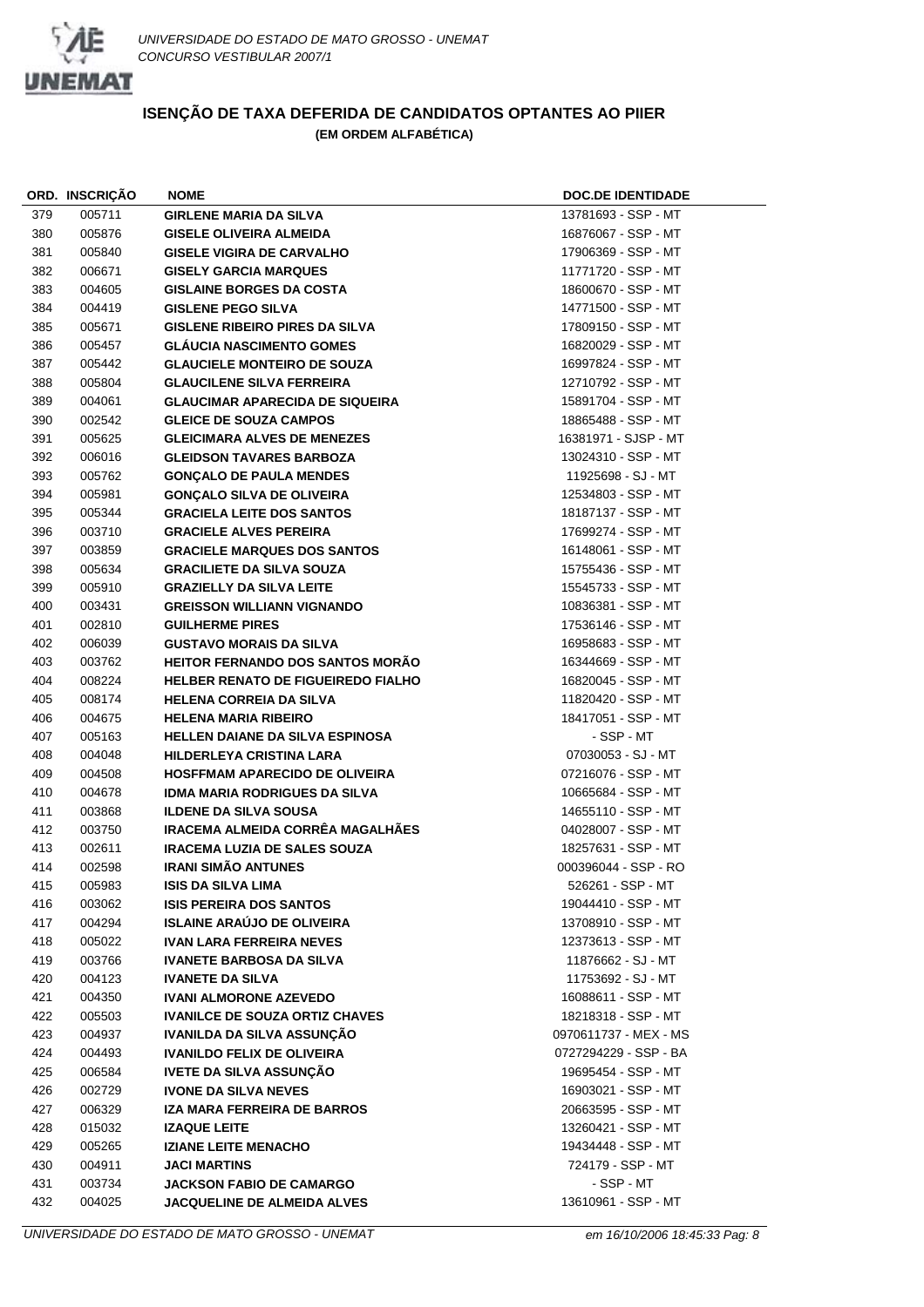

|     | ORD. INSCRIÇAO | <b>NOME</b>                               | <b>DOC.DE IDENTIDADE</b> |
|-----|----------------|-------------------------------------------|--------------------------|
| 379 | 005711         | <b>GIRLENE MARIA DA SILVA</b>             | 13781693 - SSP - MT      |
| 380 | 005876         | <b>GISELE OLIVEIRA ALMEIDA</b>            | 16876067 - SSP - MT      |
| 381 | 005840         | <b>GISELE VIGIRA DE CARVALHO</b>          | 17906369 - SSP - MT      |
| 382 | 006671         | <b>GISELY GARCIA MARQUES</b>              | 11771720 - SSP - MT      |
| 383 | 004605         | <b>GISLAINE BORGES DA COSTA</b>           | 18600670 - SSP - MT      |
| 384 | 004419         | <b>GISLENE PEGO SILVA</b>                 | 14771500 - SSP - MT      |
| 385 | 005671         | <b>GISLENE RIBEIRO PIRES DA SILVA</b>     | 17809150 - SSP - MT      |
| 386 | 005457         | <b>GLÁUCIA NASCIMENTO GOMES</b>           | 16820029 - SSP - MT      |
| 387 | 005442         | <b>GLAUCIELE MONTEIRO DE SOUZA</b>        | 16997824 - SSP - MT      |
| 388 | 005804         | <b>GLAUCILENE SILVA FERREIRA</b>          | 12710792 - SSP - MT      |
| 389 | 004061         | <b>GLAUCIMAR APARECIDA DE SIQUEIRA</b>    | 15891704 - SSP - MT      |
| 390 | 002542         | <b>GLEICE DE SOUZA CAMPOS</b>             | 18865488 - SSP - MT      |
| 391 | 005625         | <b>GLEICIMARA ALVES DE MENEZES</b>        | 16381971 - SJSP - MT     |
| 392 | 006016         | <b>GLEIDSON TAVARES BARBOZA</b>           | 13024310 - SSP - MT      |
| 393 | 005762         | <b>GONÇALO DE PAULA MENDES</b>            | 11925698 - SJ - MT       |
| 394 | 005981         | <b>GONCALO SILVA DE OLIVEIRA</b>          | 12534803 - SSP - MT      |
| 395 | 005344         | <b>GRACIELA LEITE DOS SANTOS</b>          | 18187137 - SSP - MT      |
| 396 | 003710         | <b>GRACIELE ALVES PEREIRA</b>             | 17699274 - SSP - MT      |
| 397 | 003859         | <b>GRACIELE MARQUES DOS SANTOS</b>        | 16148061 - SSP - MT      |
| 398 | 005634         | <b>GRACILIETE DA SILVA SOUZA</b>          | 15755436 - SSP - MT      |
| 399 | 005910         | <b>GRAZIELLY DA SILVA LEITE</b>           | 15545733 - SSP - MT      |
| 400 | 003431         | <b>GREISSON WILLIANN VIGNANDO</b>         | 10836381 - SSP - MT      |
| 401 | 002810         | <b>GUILHERME PIRES</b>                    | 17536146 - SSP - MT      |
| 402 | 006039         | <b>GUSTAVO MORAIS DA SILVA</b>            | 16958683 - SSP - MT      |
| 403 | 003762         | <b>HEITOR FERNANDO DOS SANTOS MORÃO</b>   | 16344669 - SSP - MT      |
| 404 | 008224         | <b>HELBER RENATO DE FIGUEIREDO FIALHO</b> | 16820045 - SSP - MT      |
| 405 | 008174         | <b>HELENA CORREIA DA SILVA</b>            | 11820420 - SSP - MT      |
| 406 | 004675         | <b>HELENA MARIA RIBEIRO</b>               | 18417051 - SSP - MT      |
| 407 | 005163         | <b>HELLEN DAIANE DA SILVA ESPINOSA</b>    | - SSP - MT               |
| 408 | 004048         | <b>HILDERLEYA CRISTINA LARA</b>           | 07030053 - SJ - MT       |
| 409 | 004508         | <b>HOSFFMAM APARECIDO DE OLIVEIRA</b>     | 07216076 - SSP - MT      |
| 410 | 004678         | <b>IDMA MARIA RODRIGUES DA SILVA</b>      | 10665684 - SSP - MT      |
| 411 | 003868         | <b>ILDENE DA SILVA SOUSA</b>              | 14655110 - SSP - MT      |
| 412 | 003750         | IRACEMA ALMEIDA CORRÊA MAGALHÃES          | 04028007 - SSP - MT      |
| 413 | 002611         | <b>IRACEMA LUZIA DE SALES SOUZA</b>       | 18257631 - SSP - MT      |
| 414 | 002598         | <b>IRANI SIMÃO ANTUNES</b>                | 000396044 - SSP - RO     |
| 415 | 005983         | <b>ISIS DA SILVA LIMA</b>                 | 526261 - SSP - MT        |
| 416 | 003062         | <b>ISIS PEREIRA DOS SANTOS</b>            | 19044410 - SSP - MT      |
| 417 | 004294         | <b>ISLAINE ARAÚJO DE OLIVEIRA</b>         | 13708910 - SSP - MT      |
| 418 | 005022         | <b>IVAN LARA FERREIRA NEVES</b>           | 12373613 - SSP - MT      |
| 419 | 003766         | <b>IVANETE BARBOSA DA SILVA</b>           | 11876662 - SJ - MT       |
| 420 | 004123         | <b>IVANETE DA SILVA</b>                   | 11753692 - SJ - MT       |
| 421 | 004350         | <b>IVANI ALMORONE AZEVEDO</b>             | 16088611 - SSP - MT      |
| 422 | 005503         | <b>IVANILCE DE SOUZA ORTIZ CHAVES</b>     | 18218318 - SSP - MT      |
| 423 | 004937         | <b>IVANILDA DA SILVA ASSUNÇÃO</b>         | 0970611737 - MEX - MS    |
| 424 | 004493         | <b>IVANILDO FELIX DE OLIVEIRA</b>         | 0727294229 - SSP - BA    |
| 425 | 006584         | <b>IVETE DA SILVA ASSUNÇÃO</b>            | 19695454 - SSP - MT      |
| 426 | 002729         | <b>IVONE DA SILVA NEVES</b>               | 16903021 - SSP - MT      |
| 427 | 006329         | IZA MARA FERREIRA DE BARROS               | 20663595 - SSP - MT      |
| 428 | 015032         | <b>IZAQUE LEITE</b>                       | 13260421 - SSP - MT      |
| 429 | 005265         | <b>IZIANE LEITE MENACHO</b>               | 19434448 - SSP - MT      |
| 430 | 004911         | <b>JACI MARTINS</b>                       | 724179 - SSP - MT        |
| 431 | 003734         | <b>JACKSON FABIO DE CAMARGO</b>           | - SSP - MT               |
| 432 | 004025         | JACQUELINE DE ALMEIDA ALVES               | 13610961 - SSP - MT      |
|     |                |                                           |                          |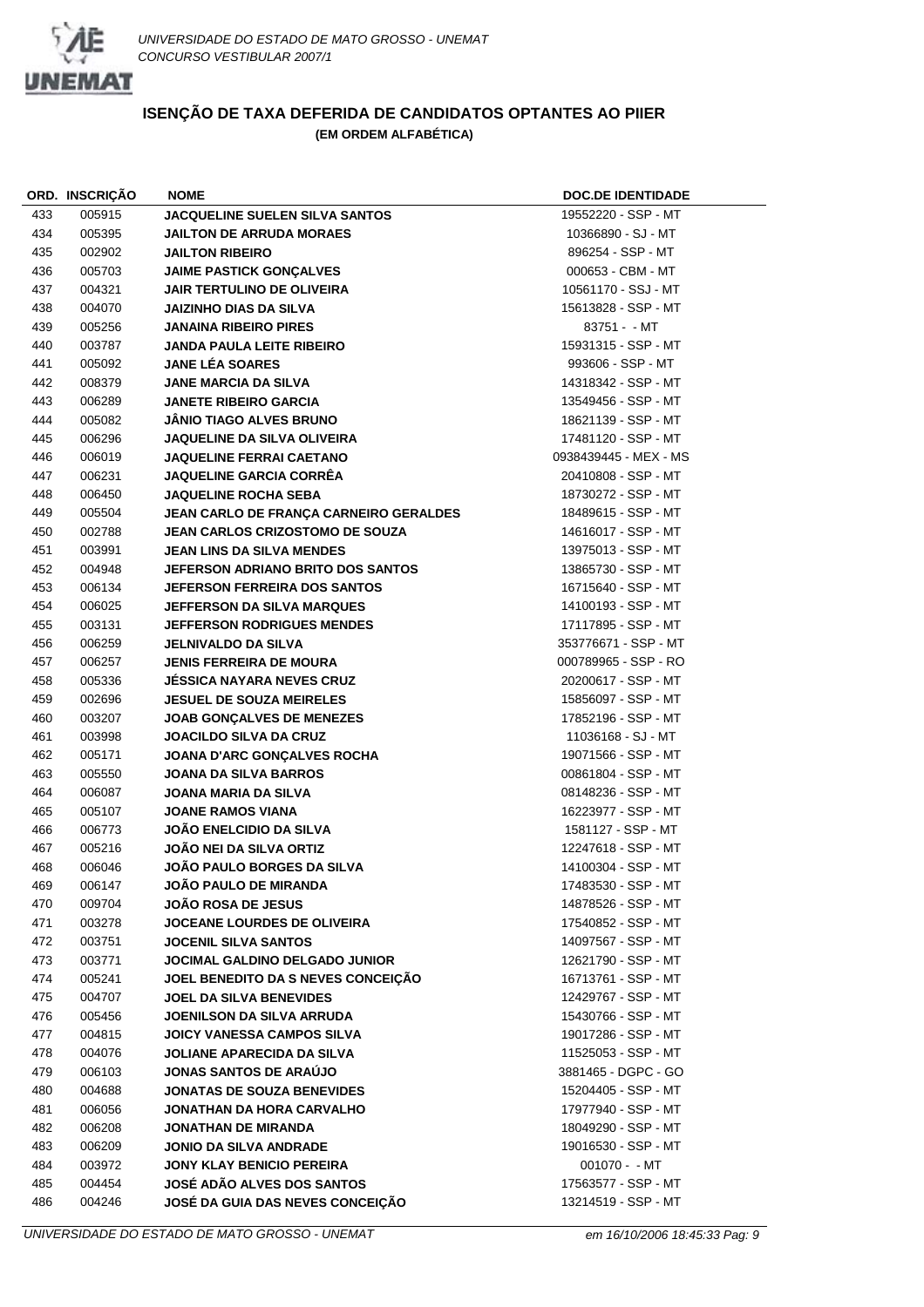

|     | ORD. INSCRIÇAO   | NOME                                      | <b>DOC.DE IDENTIDADE</b>                  |
|-----|------------------|-------------------------------------------|-------------------------------------------|
| 433 | 005915           | <b>JACQUELINE SUELEN SILVA SANTOS</b>     | 19552220 - SSP - MT                       |
| 434 | 005395           | <b>JAILTON DE ARRUDA MORAES</b>           | 10366890 - SJ - MT                        |
| 435 | 002902           | <b>JAILTON RIBEIRO</b>                    | 896254 - SSP - MT                         |
| 436 | 005703           | JAIME PASTICK GONÇALVES                   | 000653 - CBM - MT                         |
| 437 | 004321           | <b>JAIR TERTULINO DE OLIVEIRA</b>         | 10561170 - SSJ - MT                       |
| 438 | 004070           | <b>JAIZINHO DIAS DA SILVA</b>             | 15613828 - SSP - MT                       |
| 439 | 005256           | <b>JANAINA RIBEIRO PIRES</b>              | $83751 - M$ T                             |
| 440 | 003787           | <b>JANDA PAULA LEITE RIBEIRO</b>          | 15931315 - SSP - MT                       |
| 441 | 005092           | <b>JANE LEA SOARES</b>                    | 993606 - SSP - MT                         |
| 442 | 008379           | <b>JANE MARCIA DA SILVA</b>               | 14318342 - SSP - MT                       |
| 443 | 006289           | <b>JANETE RIBEIRO GARCIA</b>              | 13549456 - SSP - MT                       |
| 444 | 005082           | <b>JÁNIO TIAGO ALVES BRUNO</b>            | 18621139 - SSP - MT                       |
| 445 | 006296           | <b>JAQUELINE DA SILVA OLIVEIRA</b>        | 17481120 - SSP - MT                       |
| 446 | 006019           | <b>JAQUELINE FERRAI CAETANO</b>           | 0938439445 - MEX - MS                     |
| 447 | 006231           | <b>JAQUELINE GARCIA CORRÊA</b>            | 20410808 - SSP - MT                       |
| 448 | 006450           | <b>JAQUELINE ROCHA SEBA</b>               | 18730272 - SSP - MT                       |
| 449 | 005504           | JEAN CARLO DE FRANÇA CARNEIRO GERALDES    | 18489615 - SSP - MT                       |
| 450 | 002788           | <b>JEAN CARLOS CRIZOSTOMO DE SOUZA</b>    | 14616017 - SSP - MT                       |
| 451 | 003991           | <b>JEAN LINS DA SILVA MENDES</b>          | 13975013 - SSP - MT                       |
| 452 | 004948           | JEFERSON ADRIANO BRITO DOS SANTOS         | 13865730 - SSP - MT                       |
| 453 | 006134           | <b>JEFERSON FERREIRA DOS SANTOS</b>       | 16715640 - SSP - MT                       |
| 454 | 006025           | <b>JEFFERSON DA SILVA MARQUES</b>         | 14100193 - SSP - MT                       |
| 455 | 003131           | <b>JEFFERSON RODRIGUES MENDES</b>         | 17117895 - SSP - MT                       |
| 456 | 006259           | <b>JELNIVALDO DA SILVA</b>                | 353776671 - SSP - MT                      |
| 457 | 006257           | <b>JENIS FERREIRA DE MOURA</b>            | 000789965 - SSP - RO                      |
| 458 | 005336           | <b>JESSICA NAYARA NEVES CRUZ</b>          | 20200617 - SSP - MT                       |
| 459 | 002696           | <b>JESUEL DE SOUZA MEIRELES</b>           | 15856097 - SSP - MT                       |
| 460 | 003207           | <b>JOAB GONÇALVES DE MENEZES</b>          | 17852196 - SSP - MT                       |
| 461 | 003998           | <b>JOACILDO SILVA DA CRUZ</b>             | 11036168 - SJ - MT                        |
| 462 | 005171           | JOANA D'ARC GONÇALVES ROCHA               | 19071566 - SSP - MT                       |
| 463 | 005550           | <b>JOANA DA SILVA BARROS</b>              | 00861804 - SSP - MT                       |
| 464 | 006087           | <b>JOANA MARIA DA SILVA</b>               | 08148236 - SSP - MT                       |
| 465 | 005107           | <b>JOANE RAMOS VIANA</b>                  | 16223977 - SSP - MT                       |
|     |                  | <b>JOÃO ENELCIDIO DA SILVA</b>            |                                           |
| 466 | 006773<br>005216 | JOÃO NEI DA SILVA ORTIZ                   | 1581127 - SSP - MT<br>12247618 - SSP - MT |
| 467 |                  | <b>JOÃO PAULO BORGES DA SILVA</b>         | 14100304 - SSP - MT                       |
| 468 | 006046           |                                           | 17483530 - SSP - MT                       |
| 469 | 006147           | JOÃO PAULO DE MIRANDA                     |                                           |
| 470 | 009704           | <b>JOAO ROSA DE JESUS</b>                 | 14878526 - SSP - MT                       |
| 471 | 003278           | <b>JOCEANE LOURDES DE OLIVEIRA</b>        | 17540852 - SSP - MT                       |
| 472 | 003751           | <b>JOCENIL SILVA SANTOS</b>               | 14097567 - SSP - MT                       |
| 473 | 003771           | <b>JOCIMAL GALDINO DELGADO JUNIOR</b>     | 12621790 - SSP - MT                       |
| 474 | 005241           | <b>JOEL BENEDITO DA S NEVES CONCEIÇÃO</b> | 16713761 - SSP - MT                       |
| 475 | 004707           | <b>JOEL DA SILVA BENEVIDES</b>            | 12429767 - SSP - MT                       |
| 476 | 005456           | <b>JOENILSON DA SILVA ARRUDA</b>          | 15430766 - SSP - MT                       |
| 477 | 004815           | <b>JOICY VANESSA CAMPOS SILVA</b>         | 19017286 - SSP - MT                       |
| 478 | 004076           | <b>JOLIANE APARECIDA DA SILVA</b>         | 11525053 - SSP - MT                       |
| 479 | 006103           | <b>JONAS SANTOS DE ARAÚJO</b>             | 3881465 - DGPC - GO                       |
| 480 | 004688           | <b>JONATAS DE SOUZA BENEVIDES</b>         | 15204405 - SSP - MT                       |
| 481 | 006056           | <b>JONATHAN DA HORA CARVALHO</b>          | 17977940 - SSP - MT                       |
| 482 | 006208           | <b>JONATHAN DE MIRANDA</b>                | 18049290 - SSP - MT                       |
| 483 | 006209           | <b>JONIO DA SILVA ANDRADE</b>             | 19016530 - SSP - MT                       |
| 484 | 003972           | <b>JONY KLAY BENICIO PEREIRA</b>          | $001070 - M$ T                            |
| 485 | 004454           | <b>JOSÉ ADÃO ALVES DOS SANTOS</b>         | 17563577 - SSP - MT                       |
| 486 | 004246           | JOSÉ DA GUIA DAS NEVES CONCEIÇÃO          | 13214519 - SSP - MT                       |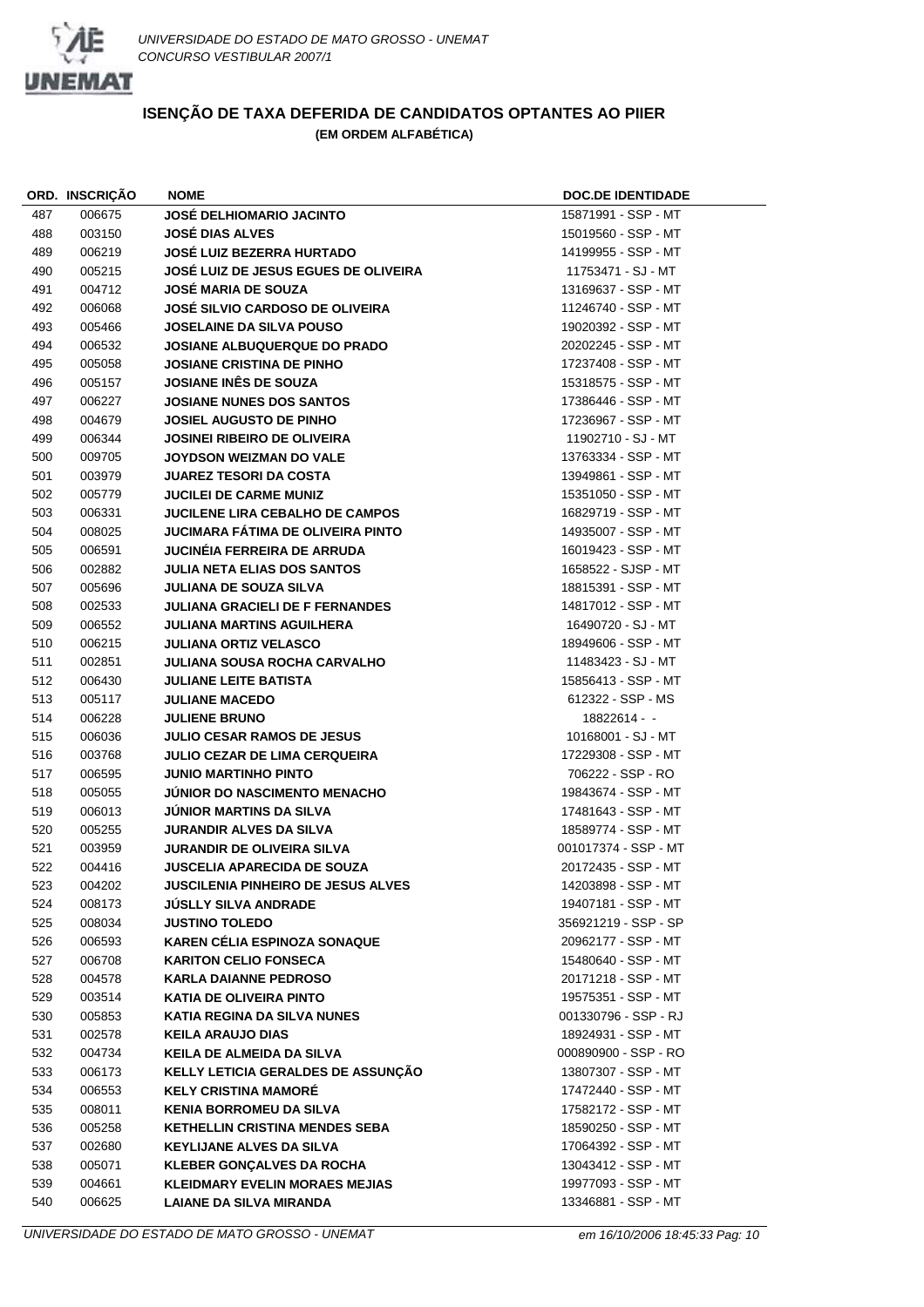

|     | ORD. INSCRIÇÃO   | <b>NOME</b>                              | <b>DOC.DE IDENTIDADE</b>                   |
|-----|------------------|------------------------------------------|--------------------------------------------|
| 487 | 006675           | <b>JOSÉ DELHIOMARIO JACINTO</b>          | 15871991 - SSP - MT                        |
| 488 | 003150           | <b>JOSÉ DIAS ALVES</b>                   | 15019560 - SSP - MT                        |
| 489 | 006219           | <b>JOSÉ LUIZ BEZERRA HURTADO</b>         | 14199955 - SSP - MT                        |
| 490 | 005215           | JOSÉ LUIZ DE JESUS EGUES DE OLIVEIRA     | 11753471 - SJ - MT                         |
| 491 | 004712           | <b>JOSÉ MARIA DE SOUZA</b>               | 13169637 - SSP - MT                        |
| 492 | 006068           | <b>JOSÉ SILVIO CARDOSO DE OLIVEIRA</b>   | 11246740 - SSP - MT                        |
| 493 | 005466           | <b>JOSELAINE DA SILVA POUSO</b>          | 19020392 - SSP - MT                        |
| 494 | 006532           | <b>JOSIANE ALBUQUERQUE DO PRADO</b>      | 20202245 - SSP - MT                        |
| 495 | 005058           | <b>JOSIANE CRISTINA DE PINHO</b>         | 17237408 - SSP - MT                        |
| 496 | 005157           | <b>JOSIANE INES DE SOUZA</b>             | 15318575 - SSP - MT                        |
| 497 | 006227           | <b>JOSIANE NUNES DOS SANTOS</b>          | 17386446 - SSP - MT                        |
| 498 | 004679           | <b>JOSIEL AUGUSTO DE PINHO</b>           | 17236967 - SSP - MT                        |
| 499 | 006344           | <b>JOSINEI RIBEIRO DE OLIVEIRA</b>       | 11902710 - SJ - MT                         |
| 500 | 009705           | JOYDSON WEIZMAN DO VALE                  | 13763334 - SSP - MT                        |
| 501 | 003979           | <b>JUAREZ TESORI DA COSTA</b>            | 13949861 - SSP - MT                        |
| 502 | 005779           | <b>JUCILEI DE CARME MUNIZ</b>            | 15351050 - SSP - MT                        |
| 503 | 006331           | <b>JUCILENE LIRA CEBALHO DE CAMPOS</b>   | 16829719 - SSP - MT                        |
| 504 | 008025           | <b>JUCIMARA FÁTIMA DE OLIVEIRA PINTO</b> | 14935007 - SSP - MT                        |
| 505 | 006591           | <b>JUCINEIA FERREIRA DE ARRUDA</b>       | 16019423 - SSP - MT                        |
| 506 | 002882           | <b>JULIA NETA ELIAS DOS SANTOS</b>       | 1658522 - SJSP - MT                        |
| 507 | 005696           | <b>JULIANA DE SOUZA SILVA</b>            | 18815391 - SSP - MT                        |
| 508 | 002533           | <b>JULIANA GRACIELI DE F FERNANDES</b>   | 14817012 - SSP - MT                        |
| 509 | 006552           | <b>JULIANA MARTINS AGUILHERA</b>         | 16490720 - SJ - MT                         |
| 510 | 006215           | <b>JULIANA ORTIZ VELASCO</b>             | 18949606 - SSP - MT                        |
| 511 | 002851           | <b>JULIANA SOUSA ROCHA CARVALHO</b>      | 11483423 - SJ - MT                         |
| 512 | 006430           | <b>JULIANE LEITE BATISTA</b>             | 15856413 - SSP - MT                        |
| 513 | 005117           | <b>JULIANE MACEDO</b>                    | 612322 - SSP - MS                          |
| 514 | 006228           | <b>JULIENE BRUNO</b>                     | 18822614 - -                               |
| 515 | 006036           | <b>JULIO CESAR RAMOS DE JESUS</b>        | 10168001 - SJ - MT                         |
| 516 | 003768           | <b>JULIO CEZAR DE LIMA CERQUEIRA</b>     | 17229308 - SSP - MT                        |
| 517 | 006595           | <b>JUNIO MARTINHO PINTO</b>              | 706222 - SSP - RO                          |
| 518 | 005055           | <b>JUNIOR DO NASCIMENTO MENACHO</b>      | 19843674 - SSP - MT                        |
| 519 | 006013           | <b>JUNIOR MARTINS DA SILVA</b>           | 17481643 - SSP - MT                        |
| 520 | 005255           | <b>JURANDIR ALVES DA SILVA</b>           | 18589774 - SSP - MT                        |
| 521 | 003959           | <b>JURANDIR DE OLIVEIRA SILVA</b>        | 001017374 - SSP - MT                       |
| 522 | 004416           | <b>JUSCELIA APARECIDA DE SOUZA</b>       | 20172435 - SSP - MT                        |
| 523 | 004202           | JUSCILENIA PINHEIRO DE JESUS ALVES       | 14203898 - SSP - MT                        |
| 524 | 008173           | <b>JUSLLY SILVA ANDRADE</b>              | 19407181 - SSP - MT                        |
| 525 | 008034           | <b>JUSTINO TOLEDO</b>                    | 356921219 - SSP - SP                       |
|     |                  | <b>KAREN CELIA ESPINOZA SONAQUE</b>      |                                            |
| 526 | 006593           | <b>KARITON CELIO FONSECA</b>             | 20962177 - SSP - MT<br>15480640 - SSP - MT |
| 527 | 006708<br>004578 | <b>KARLA DAIANNE PEDROSO</b>             | 20171218 - SSP - MT                        |
| 528 |                  |                                          |                                            |
| 529 | 003514           | KATIA DE OLIVEIRA PINTO                  | 19575351 - SSP - MT                        |
| 530 | 005853           | KATIA REGINA DA SILVA NUNES              | 001330796 - SSP - RJ                       |
| 531 | 002578           | <b>KEILA ARAUJO DIAS</b>                 | 18924931 - SSP - MT                        |
| 532 | 004734           | KEILA DE ALMEIDA DA SILVA                | 000890900 - SSP - RO                       |
| 533 | 006173           | KELLY LETICIA GERALDES DE ASSUNÇÃO       | 13807307 - SSP - MT                        |
| 534 | 006553           | <b>KELY CRISTINA MAMORE</b>              | 17472440 - SSP - MT                        |
| 535 | 008011           | <b>KENIA BORROMEU DA SILVA</b>           | 17582172 - SSP - MT                        |
| 536 | 005258           | <b>KETHELLIN CRISTINA MENDES SEBA</b>    | 18590250 - SSP - MT                        |
| 537 | 002680           | <b>KEYLIJANE ALVES DA SILVA</b>          | 17064392 - SSP - MT                        |
| 538 | 005071           | <b>KLEBER GONÇALVES DA ROCHA</b>         | 13043412 - SSP - MT                        |
| 539 | 004661           | <b>KLEIDMARY EVELIN MORAES MEJIAS</b>    | 19977093 - SSP - MT                        |
| 540 | 006625           | <b>LAIANE DA SILVA MIRANDA</b>           | 13346881 - SSP - MT                        |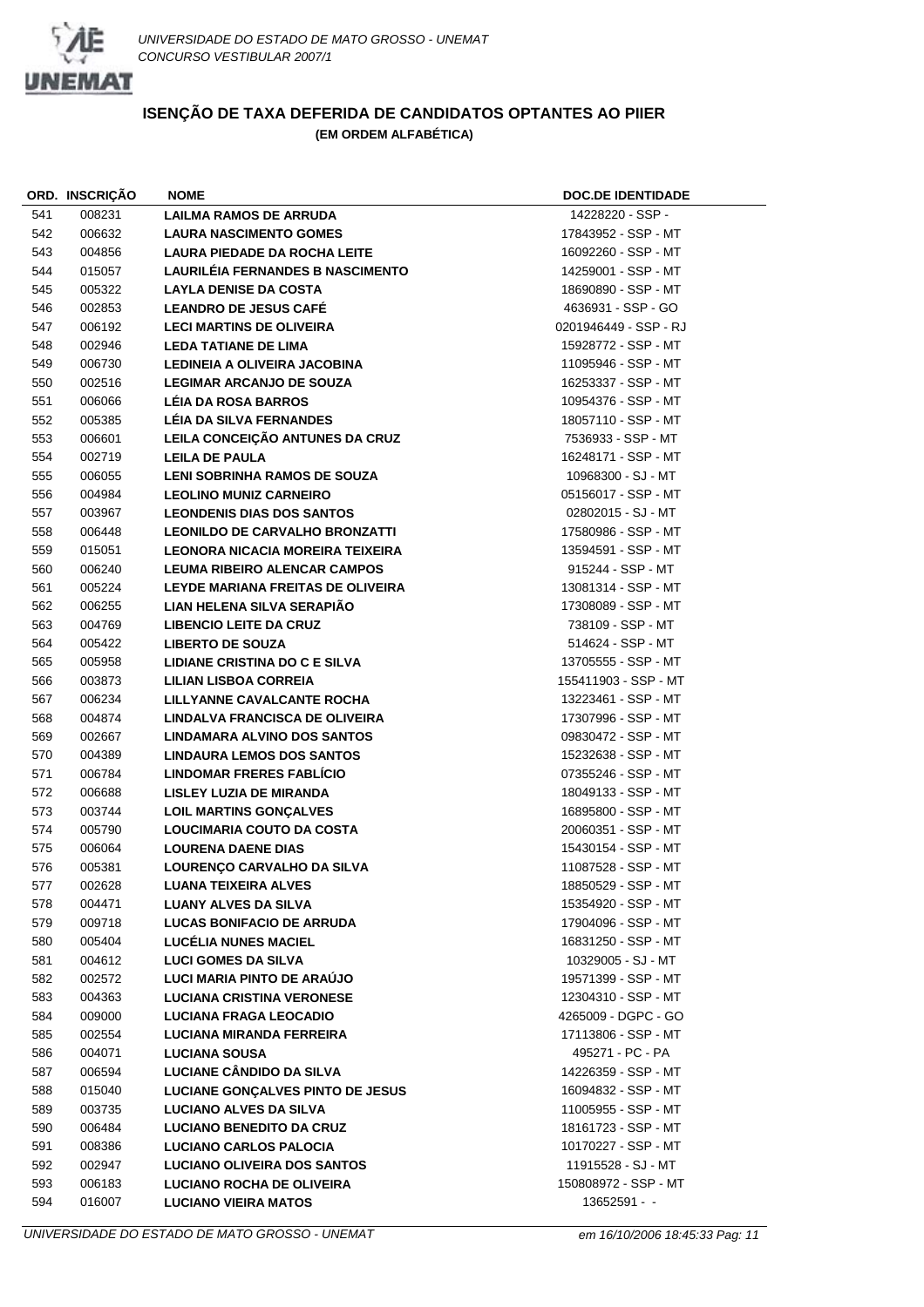

|     | ORD. INSCRIÇAO | <b>NOME</b>                             | <b>DOC.DE IDENTIDADE</b> |
|-----|----------------|-----------------------------------------|--------------------------|
| 541 | 008231         | <b>LAILMA RAMOS DE ARRUDA</b>           | 14228220 - SSP -         |
| 542 | 006632         | <b>LAURA NASCIMENTO GOMES</b>           | 17843952 - SSP - MT      |
| 543 | 004856         | LAURA PIEDADE DA ROCHA LEITE            | 16092260 - SSP - MT      |
| 544 | 015057         | <b>LAURILEIA FERNANDES B NASCIMENTO</b> | 14259001 - SSP - MT      |
| 545 | 005322         | <b>LAYLA DENISE DA COSTA</b>            | 18690890 - SSP - MT      |
| 546 | 002853         | <b>LEANDRO DE JESUS CAFÉ</b>            | 4636931 - SSP - GO       |
| 547 | 006192         | <b>LECI MARTINS DE OLIVEIRA</b>         | 0201946449 - SSP - RJ    |
| 548 | 002946         | <b>LEDA TATIANE DE LIMA</b>             | 15928772 - SSP - MT      |
| 549 | 006730         | LEDINEIA A OLIVEIRA JACOBINA            | 11095946 - SSP - MT      |
| 550 | 002516         | <b>LEGIMAR ARCANJO DE SOUZA</b>         | 16253337 - SSP - MT      |
| 551 | 006066         | <b>LÉIA DA ROSA BARROS</b>              | 10954376 - SSP - MT      |
| 552 | 005385         | <b>LÉIA DA SILVA FERNANDES</b>          | 18057110 - SSP - MT      |
|     | 006601         |                                         | 7536933 - SSP - MT       |
| 553 |                | LEILA CONCEIÇÃO ANTUNES DA CRUZ         |                          |
| 554 | 002719         | LEILA DE PAULA                          | 16248171 - SSP - MT      |
| 555 | 006055         | <b>LENI SOBRINHA RAMOS DE SOUZA</b>     | 10968300 - SJ - MT       |
| 556 | 004984         | <b>LEOLINO MUNIZ CARNEIRO</b>           | 05156017 - SSP - MT      |
| 557 | 003967         | <b>LEONDENIS DIAS DOS SANTOS</b>        | 02802015 - SJ - MT       |
| 558 | 006448         | <b>LEONILDO DE CARVALHO BRONZATTI</b>   | 17580986 - SSP - MT      |
| 559 | 015051         | LEONORA NICACIA MOREIRA TEIXEIRA        | 13594591 - SSP - MT      |
| 560 | 006240         | <b>LEUMA RIBEIRO ALENCAR CAMPOS</b>     | 915244 - SSP - MT        |
| 561 | 005224         | LEYDE MARIANA FREITAS DE OLIVEIRA       | 13081314 - SSP - MT      |
| 562 | 006255         | <b>LIAN HELENA SILVA SERAPIAO</b>       | 17308089 - SSP - MT      |
| 563 | 004769         | <b>LIBENCIO LEITE DA CRUZ</b>           | 738109 - SSP - MT        |
| 564 | 005422         | <b>LIBERTO DE SOUZA</b>                 | 514624 - SSP - MT        |
| 565 | 005958         | LIDIANE CRISTINA DO C E SILVA           | 13705555 - SSP - MT      |
| 566 | 003873         | LILIAN LISBOA CORREIA                   | 155411903 - SSP - MT     |
| 567 | 006234         | LILLYANNE CAVALCANTE ROCHA              | 13223461 - SSP - MT      |
| 568 | 004874         | LINDALVA FRANCISCA DE OLIVEIRA          | 17307996 - SSP - MT      |
| 569 | 002667         | LINDAMARA ALVINO DOS SANTOS             | 09830472 - SSP - MT      |
| 570 | 004389         | <b>LINDAURA LEMOS DOS SANTOS</b>        | 15232638 - SSP - MT      |
| 571 | 006784         | <b>LINDOMAR FRERES FABLÍCIO</b>         | 07355246 - SSP - MT      |
| 572 | 006688         | <b>LISLEY LUZIA DE MIRANDA</b>          | 18049133 - SSP - MT      |
| 573 | 003744         | <b>LOIL MARTINS GONÇALVES</b>           | 16895800 - SSP - MT      |
| 574 | 005790         | LOUCIMARIA COUTO DA COSTA               | 20060351 - SSP - MT      |
| 575 | 006064         | <b>LOURENA DAENE DIAS</b>               | 15430154 - SSP - MT      |
| 576 | 005381         | LOURENÇO CARVALHO DA SILVA              | 11087528 - SSP - MT      |
| 577 | 002628         | <b>LUANA TEIXEIRA ALVES</b>             | 18850529 - SSP - MT      |
| 578 | 004471         | <b>LUANY ALVES DA SILVA</b>             | 15354920 - SSP - MT      |
| 579 | 009718         | <b>LUCAS BONIFACIO DE ARRUDA</b>        | 17904096 - SSP - MT      |
| 580 | 005404         | <b>LUCELIA NUNES MACIEL</b>             | 16831250 - SSP - MT      |
| 581 | 004612         | <b>LUCI GOMES DA SILVA</b>              | 10329005 - SJ - MT       |
| 582 | 002572         | LUCI MARIA PINTO DE ARAÚJO              | 19571399 - SSP - MT      |
| 583 | 004363         | <b>LUCIANA CRISTINA VERONESE</b>        | 12304310 - SSP - MT      |
| 584 | 009000         | LUCIANA FRAGA LEOCADIO                  | 4265009 - DGPC - GO      |
| 585 | 002554         | LUCIANA MIRANDA FERREIRA                | 17113806 - SSP - MT      |
| 586 | 004071         | <b>LUCIANA SOUSA</b>                    | 495271 - PC - PA         |
| 587 | 006594         | <b>LUCIANE CÂNDIDO DA SILVA</b>         | 14226359 - SSP - MT      |
| 588 | 015040         | LUCIANE GONÇALVES PINTO DE JESUS        | 16094832 - SSP - MT      |
| 589 | 003735         | <b>LUCIANO ALVES DA SILVA</b>           | 11005955 - SSP - MT      |
| 590 | 006484         | <b>LUCIANO BENEDITO DA CRUZ</b>         | 18161723 - SSP - MT      |
| 591 | 008386         | LUCIANO CARLOS PALOCIA                  | 10170227 - SSP - MT      |
| 592 | 002947         | LUCIANO OLIVEIRA DOS SANTOS             | 11915528 - SJ - MT       |
| 593 | 006183         | LUCIANO ROCHA DE OLIVEIRA               | 150808972 - SSP - MT     |
| 594 | 016007         | <b>LUCIANO VIEIRA MATOS</b>             | $13652591 - -$           |
|     |                |                                         |                          |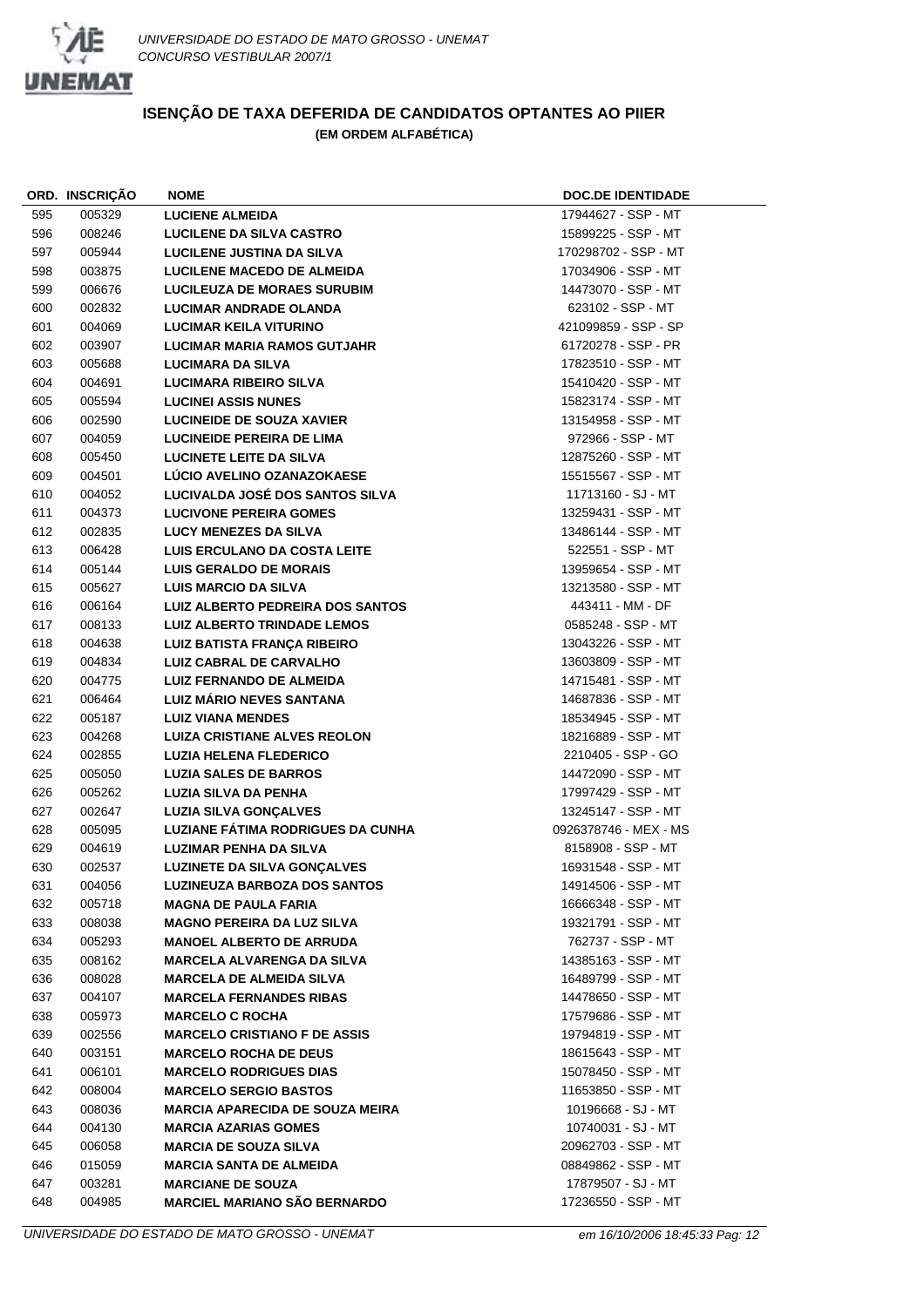

|     | ORD. INSCRIÇÃO | NOME                                     | <b>DOC.DE IDENTIDADE</b> |
|-----|----------------|------------------------------------------|--------------------------|
| 595 | 005329         | <b>LUCIENE ALMEIDA</b>                   | 17944627 - SSP - MT      |
| 596 | 008246         | <b>LUCILENE DA SILVA CASTRO</b>          | 15899225 - SSP - MT      |
| 597 | 005944         | LUCILENE JUSTINA DA SILVA                | 170298702 - SSP - MT     |
| 598 | 003875         | <b>LUCILENE MACEDO DE ALMEIDA</b>        | 17034906 - SSP - MT      |
| 599 | 006676         | <b>LUCILEUZA DE MORAES SURUBIM</b>       | 14473070 - SSP - MT      |
| 600 | 002832         | <b>LUCIMAR ANDRADE OLANDA</b>            | 623102 - SSP - MT        |
| 601 | 004069         | LUCIMAR KEILA VITURINO                   | 421099859 - SSP - SP     |
| 602 | 003907         | <b>LUCIMAR MARIA RAMOS GUTJAHR</b>       | 61720278 - SSP - PR      |
| 603 | 005688         | <b>LUCIMARA DA SILVA</b>                 | 17823510 - SSP - MT      |
| 604 | 004691         | <b>LUCIMARA RIBEIRO SILVA</b>            | 15410420 - SSP - MT      |
| 605 | 005594         | <b>LUCINEI ASSIS NUNES</b>               | 15823174 - SSP - MT      |
| 606 | 002590         | <b>LUCINEIDE DE SOUZA XAVIER</b>         | 13154958 - SSP - MT      |
| 607 | 004059         | LUCINEIDE PEREIRA DE LIMA                | 972966 - SSP - MT        |
| 608 | 005450         | <b>LUCINETE LEITE DA SILVA</b>           | 12875260 - SSP - MT      |
| 609 | 004501         | LUCIO AVELINO OZANAZOKAESE               | 15515567 - SSP - MT      |
| 610 | 004052         | LUCIVALDA JOSÉ DOS SANTOS SILVA          | 11713160 - SJ - MT       |
| 611 | 004373         | <b>LUCIVONE PEREIRA GOMES</b>            | 13259431 - SSP - MT      |
| 612 | 002835         | <b>LUCY MENEZES DA SILVA</b>             | 13486144 - SSP - MT      |
| 613 | 006428         | <b>LUIS ERCULANO DA COSTA LEITE</b>      | 522551 - SSP - MT        |
| 614 | 005144         | <b>LUIS GERALDO DE MORAIS</b>            | 13959654 - SSP - MT      |
| 615 | 005627         | <b>LUIS MARCIO DA SILVA</b>              | 13213580 - SSP - MT      |
| 616 | 006164         | LUIZ ALBERTO PEDREIRA DOS SANTOS         | 443411 - MM - DF         |
| 617 | 008133         | <b>LUIZ ALBERTO TRINDADE LEMOS</b>       | 0585248 - SSP - MT       |
| 618 | 004638         | LUIZ BATISTA FRANÇA RIBEIRO              | 13043226 - SSP - MT      |
| 619 | 004834         | LUIZ CABRAL DE CARVALHO                  | 13603809 - SSP - MT      |
| 620 | 004775         | <b>LUIZ FERNANDO DE ALMEIDA</b>          | 14715481 - SSP - MT      |
| 621 | 006464         | <b>LUIZ MÁRIO NEVES SANTANA</b>          | 14687836 - SSP - MT      |
| 622 | 005187         | <b>LUIZ VIANA MENDES</b>                 | 18534945 - SSP - MT      |
| 623 | 004268         | <b>LUIZA CRISTIANE ALVES REOLON</b>      | 18216889 - SSP - MT      |
| 624 | 002855         | <b>LUZIA HELENA FLEDERICO</b>            | 2210405 - SSP - GO       |
| 625 | 005050         | <b>LUZIA SALES DE BARROS</b>             | 14472090 - SSP - MT      |
| 626 | 005262         | LUZIA SILVA DA PENHA                     | 17997429 - SSP - MT      |
| 627 | 002647         | <b>LUZIA SILVA GONÇALVES</b>             | 13245147 - SSP - MT      |
| 628 | 005095         | <b>LUZIANE FÁTIMA RODRIGUES DA CUNHA</b> | 0926378746 - MEX - MS    |
| 629 | 004619         | <b>LUZIMAR PENHA DA SILVA</b>            | 8158908 - SSP - MT       |
| 630 | 002537         | <b>LUZINETE DA SILVA GONCALVES</b>       | 16931548 - SSP - MT      |
| 631 | 004056         | <b>LUZINEUZA BARBOZA DOS SANTOS</b>      | 14914506 - SSP - MT      |
| 632 | 005718         | <b>MAGNA DE PAULA FARIA</b>              | 16666348 - SSP - MT      |
| 633 | 008038         | <b>MAGNO PEREIRA DA LUZ SILVA</b>        | 19321791 - SSP - MT      |
| 634 | 005293         | <b>MANOEL ALBERTO DE ARRUDA</b>          | 762737 - SSP - MT        |
| 635 | 008162         | <b>MARCELA ALVARENGA DA SILVA</b>        | 14385163 - SSP - MT      |
| 636 | 008028         | <b>MARCELA DE ALMEIDA SILVA</b>          | 16489799 - SSP - MT      |
| 637 | 004107         | <b>MARCELA FERNANDES RIBAS</b>           | 14478650 - SSP - MT      |
| 638 | 005973         | <b>MARCELO C ROCHA</b>                   | 17579686 - SSP - MT      |
| 639 | 002556         | <b>MARCELO CRISTIANO F DE ASSIS</b>      | 19794819 - SSP - MT      |
| 640 | 003151         | <b>MARCELO ROCHA DE DEUS</b>             | 18615643 - SSP - MT      |
| 641 | 006101         | <b>MARCELO RODRIGUES DIAS</b>            | 15078450 - SSP - MT      |
| 642 | 008004         | <b>MARCELO SERGIO BASTOS</b>             | 11653850 - SSP - MT      |
|     | 008036         | <b>MARCIA APARECIDA DE SOUZA MEIRA</b>   | 10196668 - SJ - MT       |
| 643 |                | <b>MARCIA AZARIAS GOMES</b>              | 10740031 - SJ - MT       |
| 644 | 004130         |                                          |                          |
| 645 | 006058         | <b>MARCIA DE SOUZA SILVA</b>             | 20962703 - SSP - MT      |
| 646 | 015059         | <b>MARCIA SANTA DE ALMEIDA</b>           | 08849862 - SSP - MT      |
| 647 | 003281         | <b>MARCIANE DE SOUZA</b>                 | 17879507 - SJ - MT       |
| 648 | 004985         | <b>MARCIEL MARIANO SÃO BERNARDO</b>      | 17236550 - SSP - MT      |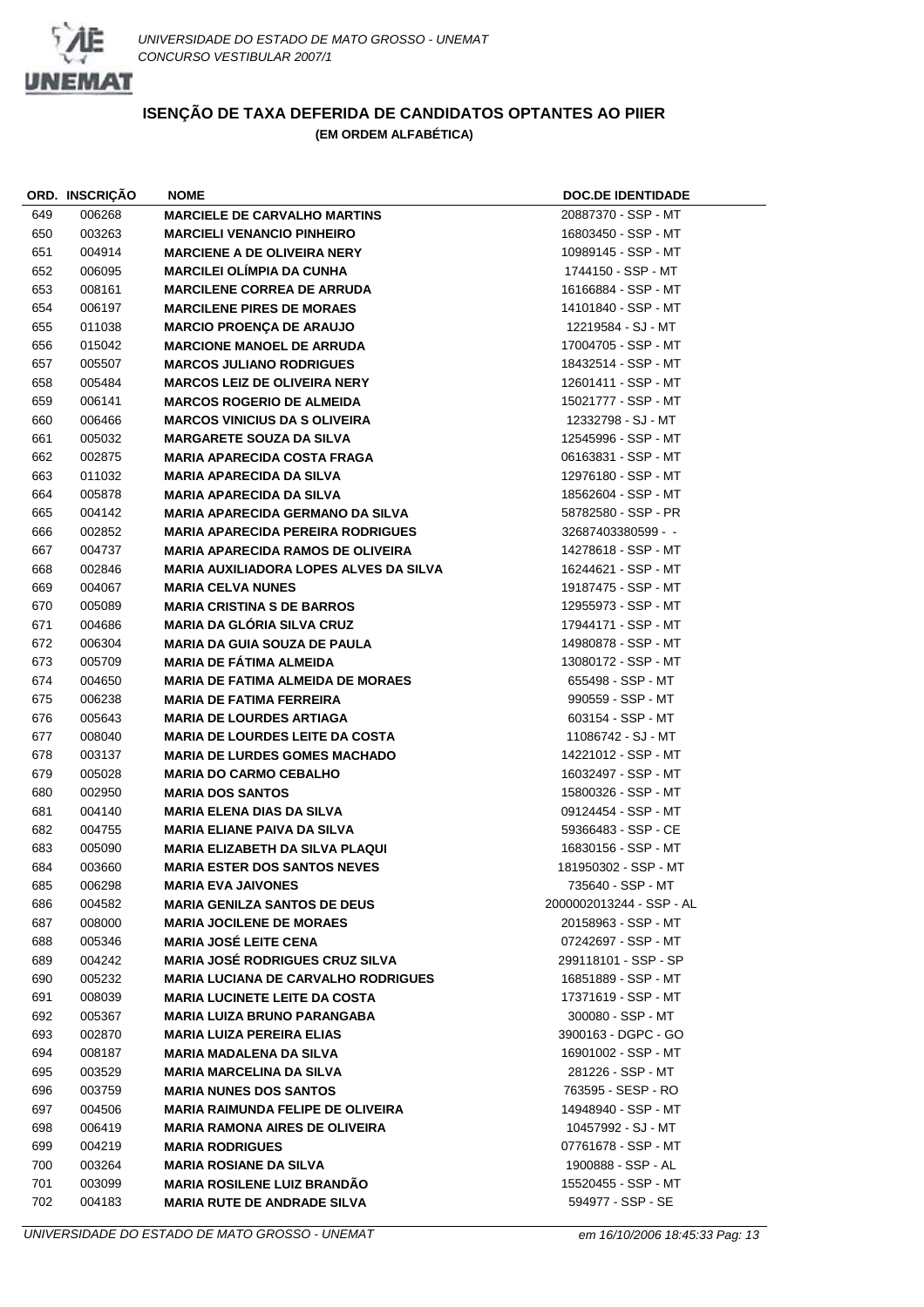

|     | ORD. INSCRIÇÃO | <b>NOME</b>                                   | <b>DOC.DE IDENTIDADE</b> |
|-----|----------------|-----------------------------------------------|--------------------------|
| 649 | 006268         | <b>MARCIELE DE CARVALHO MARTINS</b>           | 20887370 - SSP - MT      |
| 650 | 003263         | <b>MARCIELI VENANCIO PINHEIRO</b>             | 16803450 - SSP - MT      |
| 651 | 004914         | <b>MARCIENE A DE OLIVEIRA NERY</b>            | 10989145 - SSP - MT      |
| 652 | 006095         | <b>MARCILEI OLIMPIA DA CUNHA</b>              | 1744150 - SSP - MT       |
| 653 | 008161         | <b>MARCILENE CORREA DE ARRUDA</b>             | 16166884 - SSP - MT      |
| 654 | 006197         | <b>MARCILENE PIRES DE MORAES</b>              | 14101840 - SSP - MT      |
| 655 | 011038         | <b>MARCIO PROENÇA DE ARAUJO</b>               | 12219584 - SJ - MT       |
| 656 | 015042         | <b>MARCIONE MANOEL DE ARRUDA</b>              | 17004705 - SSP - MT      |
| 657 | 005507         | <b>MARCOS JULIANO RODRIGUES</b>               | 18432514 - SSP - MT      |
| 658 | 005484         | <b>MARCOS LEIZ DE OLIVEIRA NERY</b>           | 12601411 - SSP - MT      |
| 659 | 006141         | <b>MARCOS ROGERIO DE ALMEIDA</b>              | 15021777 - SSP - MT      |
| 660 | 006466         | <b>MARCOS VINICIUS DA S OLIVEIRA</b>          | 12332798 - SJ - MT       |
| 661 | 005032         | <b>MARGARETE SOUZA DA SILVA</b>               | 12545996 - SSP - MT      |
| 662 | 002875         | <b>MARIA APARECIDA COSTA FRAGA</b>            | 06163831 - SSP - MT      |
| 663 | 011032         | <b>MARIA APARECIDA DA SILVA</b>               | 12976180 - SSP - MT      |
| 664 | 005878         | <b>MARIA APARECIDA DA SILVA</b>               | 18562604 - SSP - MT      |
| 665 | 004142         | <b>MARIA APARECIDA GERMANO DA SILVA</b>       | 58782580 - SSP - PR      |
| 666 | 002852         | <b>MARIA APARECIDA PEREIRA RODRIGUES</b>      | 32687403380599 - -       |
| 667 | 004737         | <b>MARIA APARECIDA RAMOS DE OLIVEIRA</b>      | 14278618 - SSP - MT      |
| 668 | 002846         | <b>MARIA AUXILIADORA LOPES ALVES DA SILVA</b> | 16244621 - SSP - MT      |
| 669 | 004067         | <b>MARIA CELVA NUNES</b>                      | 19187475 - SSP - MT      |
| 670 | 005089         | <b>MARIA CRISTINA S DE BARROS</b>             | 12955973 - SSP - MT      |
| 671 | 004686         | <b>MARIA DA GLÓRIA SILVA CRUZ</b>             | 17944171 - SSP - MT      |
| 672 | 006304         | <b>MARIA DA GUIA SOUZA DE PAULA</b>           | 14980878 - SSP - MT      |
| 673 | 005709         | <b>MARIA DE FÁTIMA ALMEIDA</b>                | 13080172 - SSP - MT      |
| 674 | 004650         | <b>MARIA DE FATIMA ALMEIDA DE MORAES</b>      | 655498 - SSP - MT        |
| 675 | 006238         | <b>MARIA DE FATIMA FERREIRA</b>               | 990559 - SSP - MT        |
| 676 | 005643         | <b>MARIA DE LOURDES ARTIAGA</b>               | 603154 - SSP - MT        |
| 677 | 008040         | <b>MARIA DE LOURDES LEITE DA COSTA</b>        | 11086742 - SJ - MT       |
| 678 | 003137         | <b>MARIA DE LURDES GOMES MACHADO</b>          | 14221012 - SSP - MT      |
| 679 | 005028         | <b>MARIA DO CARMO CEBALHO</b>                 | 16032497 - SSP - MT      |
| 680 | 002950         | <b>MARIA DOS SANTOS</b>                       | 15800326 - SSP - MT      |
| 681 | 004140         | <b>MARIA ELENA DIAS DA SILVA</b>              | 09124454 - SSP - MT      |
| 682 | 004755         | <b>MARIA ELIANE PAIVA DA SILVA</b>            | 59366483 - SSP - CE      |
| 683 | 005090         | <b>MARIA ELIZABETH DA SILVA PLAQUI</b>        | 16830156 - SSP - MT      |
| 684 | 003660         | <b>MARIA ESTER DOS SANTOS NEVES</b>           | 181950302 - SSP - MT     |
| 685 | 006298         | <b>MARIA EVA JAIVONES</b>                     | 735640 - SSP - MT        |
| 686 | 004582         | <b>MARIA GENILZA SANTOS DE DEUS</b>           | 2000002013244 - SSP - AL |
| 687 | 008000         | <b>MARIA JOCILENE DE MORAES</b>               | 20158963 - SSP - MT      |
| 688 | 005346         | <b>MARIA JOSÉ LEITE CENA</b>                  | 07242697 - SSP - MT      |
| 689 | 004242         | MARIA JOSÉ RODRIGUES CRUZ SILVA               | 299118101 - SSP - SP     |
| 690 | 005232         | <b>MARIA LUCIANA DE CARVALHO RODRIGUES</b>    | 16851889 - SSP - MT      |
| 691 | 008039         | <b>MARIA LUCINETE LEITE DA COSTA</b>          | 17371619 - SSP - MT      |
| 692 | 005367         | <b>MARIA LUIZA BRUNO PARANGABA</b>            | 300080 - SSP - MT        |
| 693 | 002870         | <b>MARIA LUIZA PEREIRA ELIAS</b>              | 3900163 - DGPC - GO      |
| 694 | 008187         | MARIA MADALENA DA SILVA                       | 16901002 - SSP - MT      |
| 695 | 003529         | <b>MARIA MARCELINA DA SILVA</b>               | 281226 - SSP - MT        |
| 696 | 003759         | <b>MARIA NUNES DOS SANTOS</b>                 | 763595 - SESP - RO       |
| 697 | 004506         | <b>MARIA RAIMUNDA FELIPE DE OLIVEIRA</b>      | 14948940 - SSP - MT      |
| 698 | 006419         | <b>MARIA RAMONA AIRES DE OLIVEIRA</b>         | 10457992 - SJ - MT       |
| 699 | 004219         | <b>MARIA RODRIGUES</b>                        | 07761678 - SSP - MT      |
| 700 | 003264         | <b>MARIA ROSIANE DA SILVA</b>                 | 1900888 - SSP - AL       |
| 701 | 003099         | <b>MARIA ROSILENE LUIZ BRANDAO</b>            | 15520455 - SSP - MT      |
| 702 | 004183         | <b>MARIA RUTE DE ANDRADE SILVA</b>            | 594977 - SSP - SE        |
|     |                |                                               |                          |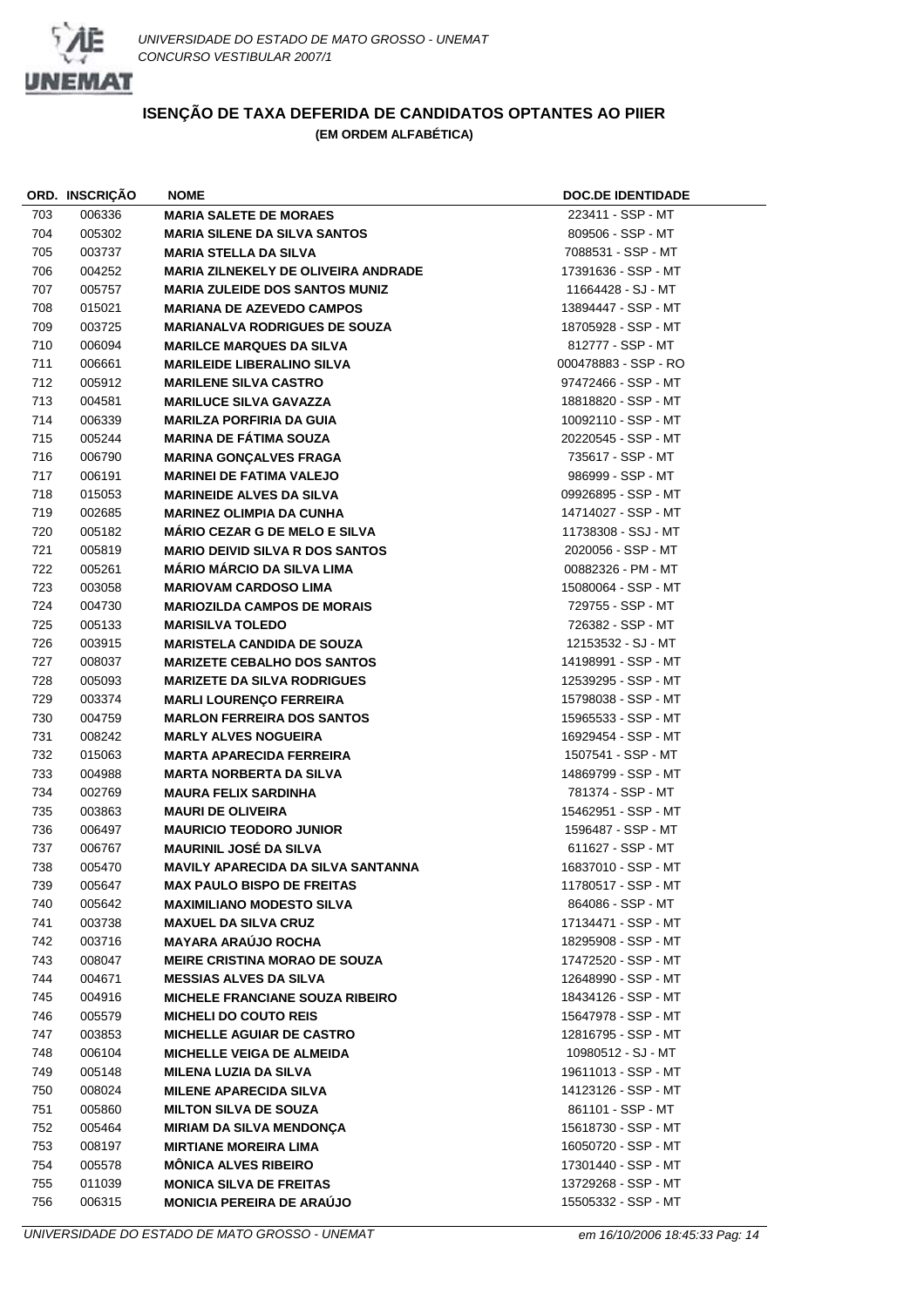

|     | ORD. INSCRIÇAO | <b>NOME</b>                                | <b>DOC.DE IDENTIDADE</b> |
|-----|----------------|--------------------------------------------|--------------------------|
| 703 | 006336         | <b>MARIA SALETE DE MORAES</b>              | 223411 - SSP - MT        |
| 704 | 005302         | <b>MARIA SILENE DA SILVA SANTOS</b>        | 809506 - SSP - MT        |
| 705 | 003737         | <b>MARIA STELLA DA SILVA</b>               | 7088531 - SSP - MT       |
| 706 | 004252         | <b>MARIA ZILNEKELY DE OLIVEIRA ANDRADE</b> | 17391636 - SSP - MT      |
| 707 | 005757         | <b>MARIA ZULEIDE DOS SANTOS MUNIZ</b>      | 11664428 - SJ - MT       |
| 708 | 015021         | <b>MARIANA DE AZEVEDO CAMPOS</b>           | 13894447 - SSP - MT      |
| 709 | 003725         | <b>MARIANALVA RODRIGUES DE SOUZA</b>       | 18705928 - SSP - MT      |
| 710 | 006094         | <b>MARILCE MARQUES DA SILVA</b>            | 812777 - SSP - MT        |
| 711 | 006661         | <b>MARILEIDE LIBERALINO SILVA</b>          | 000478883 - SSP - RO     |
| 712 | 005912         | <b>MARILENE SILVA CASTRO</b>               | 97472466 - SSP - MT      |
| 713 | 004581         | <b>MARILUCE SILVA GAVAZZA</b>              | 18818820 - SSP - MT      |
| 714 | 006339         | <b>MARILZA PORFIRIA DA GUIA</b>            | 10092110 - SSP - MT      |
| 715 | 005244         | <b>MARINA DE FÁTIMA SOUZA</b>              | 20220545 - SSP - MT      |
| 716 | 006790         | <b>MARINA GONÇALVES FRAGA</b>              | 735617 - SSP - MT        |
| 717 | 006191         | <b>MARINEI DE FATIMA VALEJO</b>            | 986999 - SSP - MT        |
| 718 | 015053         | <b>MARINEIDE ALVES DA SILVA</b>            | 09926895 - SSP - MT      |
| 719 | 002685         | <b>MARINEZ OLIMPIA DA CUNHA</b>            | 14714027 - SSP - MT      |
| 720 | 005182         | <b>MÁRIO CEZAR G DE MELO E SILVA</b>       | 11738308 - SSJ - MT      |
| 721 | 005819         | <b>MARIO DEIVID SILVA R DOS SANTOS</b>     | 2020056 - SSP - MT       |
| 722 | 005261         | <b>MÁRIO MÁRCIO DA SILVA LIMA</b>          | 00882326 - PM - MT       |
| 723 | 003058         | <b>MARIOVAM CARDOSO LIMA</b>               | 15080064 - SSP - MT      |
| 724 | 004730         | <b>MARIOZILDA CAMPOS DE MORAIS</b>         | 729755 - SSP - MT        |
| 725 | 005133         | <b>MARISILVA TOLEDO</b>                    | 726382 - SSP - MT        |
| 726 | 003915         | <b>MARISTELA CANDIDA DE SOUZA</b>          | 12153532 - SJ - MT       |
| 727 | 008037         | <b>MARIZETE CEBALHO DOS SANTOS</b>         | 14198991 - SSP - MT      |
| 728 | 005093         | <b>MARIZETE DA SILVA RODRIGUES</b>         | 12539295 - SSP - MT      |
| 729 | 003374         | <b>MARLI LOURENÇO FERREIRA</b>             | 15798038 - SSP - MT      |
| 730 | 004759         | <b>MARLON FERREIRA DOS SANTOS</b>          | 15965533 - SSP - MT      |
| 731 | 008242         | <b>MARLY ALVES NOGUEIRA</b>                | 16929454 - SSP - MT      |
| 732 | 015063         | <b>MARTA APARECIDA FERREIRA</b>            | 1507541 - SSP - MT       |
| 733 | 004988         | <b>MARTA NORBERTA DA SILVA</b>             | 14869799 - SSP - MT      |
| 734 | 002769         | <b>MAURA FELIX SARDINHA</b>                | 781374 - SSP - MT        |
| 735 | 003863         | <b>MAURI DE OLIVEIRA</b>                   | 15462951 - SSP - MT      |
| 736 | 006497         | <b>MAURICIO TEODORO JUNIOR</b>             | 1596487 - SSP - MT       |
| 737 | 006767         | <b>MAURINIL JOSÉ DA SILVA</b>              | 611627 - SSP - MT        |
| 738 | 005470         | <b>MAVILY APARECIDA DA SILVA SANTANNA</b>  | 16837010 - SSP - MT      |
| 739 | 005647         | <b>MAX PAULO BISPO DE FREITAS</b>          | 11780517 - SSP - MT      |
| 740 | 005642         | <b>MAXIMILIANO MODESTO SILVA</b>           | 864086 - SSP - MT        |
| 741 | 003738         | <b>MAXUEL DA SILVA CRUZ</b>                | 17134471 - SSP - MT      |
| 742 | 003716         | <b>MAYARA ARAUJO ROCHA</b>                 | 18295908 - SSP - MT      |
| 743 | 008047         | <b>MEIRE CRISTINA MORAO DE SOUZA</b>       | 17472520 - SSP - MT      |
| 744 | 004671         | <b>MESSIAS ALVES DA SILVA</b>              | 12648990 - SSP - MT      |
| 745 | 004916         | <b>MICHELE FRANCIANE SOUZA RIBEIRO</b>     | 18434126 - SSP - MT      |
| 746 | 005579         | <b>MICHELI DO COUTO REIS</b>               | 15647978 - SSP - MT      |
| 747 | 003853         | <b>MICHELLE AGUIAR DE CASTRO</b>           | 12816795 - SSP - MT      |
| 748 | 006104         | <b>MICHELLE VEIGA DE ALMEIDA</b>           | 10980512 - SJ - MT       |
| 749 | 005148         | <b>MILENA LUZIA DA SILVA</b>               | 19611013 - SSP - MT      |
| 750 | 008024         | <b>MILENE APARECIDA SILVA</b>              | 14123126 - SSP - MT      |
| 751 | 005860         | <b>MILTON SILVA DE SOUZA</b>               | 861101 - SSP - MT        |
| 752 | 005464         | <b>MIRIAM DA SILVA MENDONÇA</b>            | 15618730 - SSP - MT      |
| 753 | 008197         | <b>MIRTIANE MOREIRA LIMA</b>               | 16050720 - SSP - MT      |
| 754 | 005578         | <b>MONICA ALVES RIBEIRO</b>                | 17301440 - SSP - MT      |
| 755 | 011039         | <b>MONICA SILVA DE FREITAS</b>             | 13729268 - SSP - MT      |
| 756 | 006315         | <b>MONICIA PEREIRA DE ARAÚJO</b>           | 15505332 - SSP - MT      |
|     |                |                                            |                          |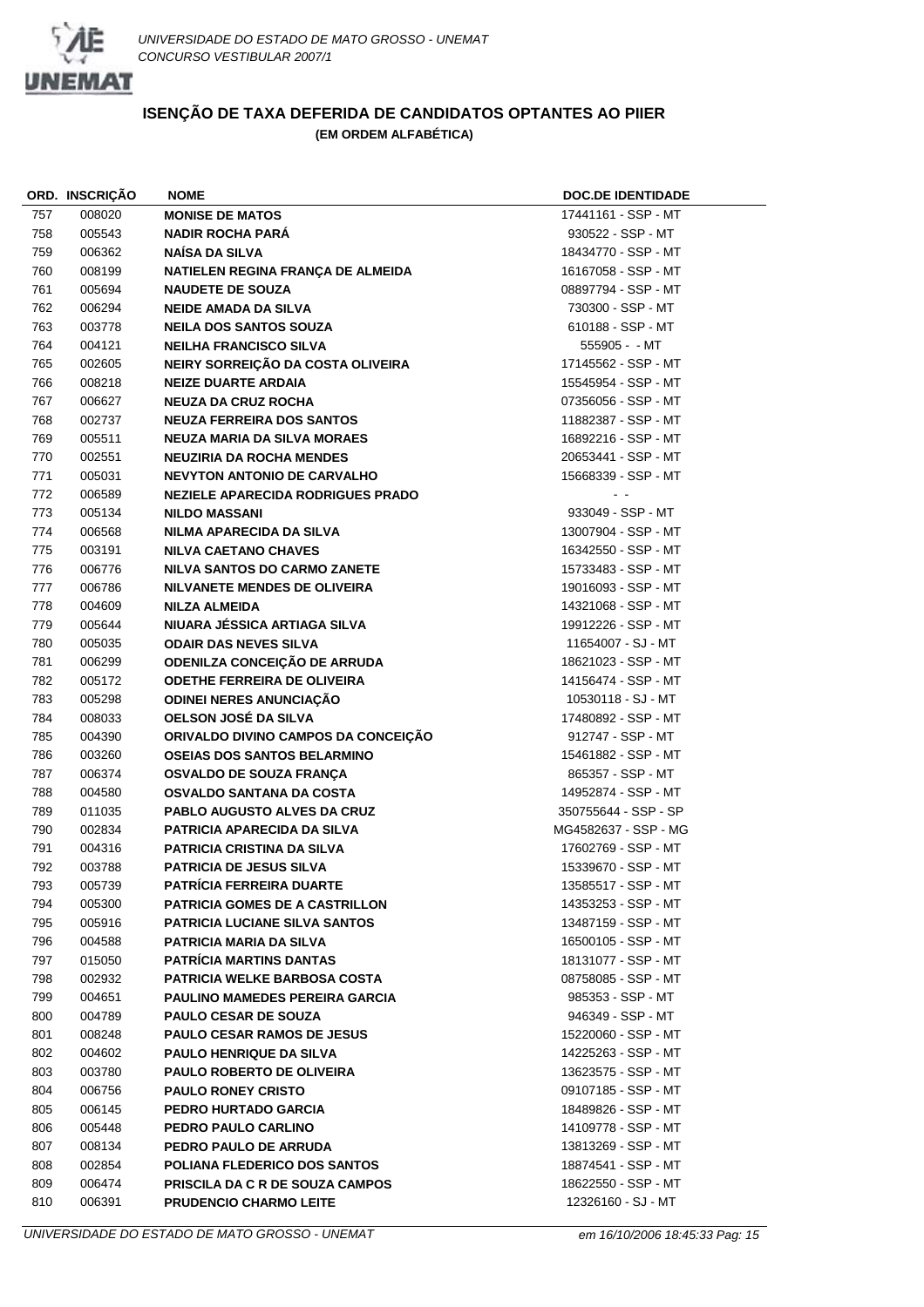

|     | ORD. INSCRIÇÃO | <b>NOME</b>                              | <b>DOC.DE IDENTIDADE</b> |
|-----|----------------|------------------------------------------|--------------------------|
| 757 | 008020         | <b>MONISE DE MATOS</b>                   | 17441161 - SSP - MT      |
| 758 | 005543         | <b>NADIR ROCHA PARA</b>                  | 930522 - SSP - MT        |
| 759 | 006362         | <b>NAÍSA DA SILVA</b>                    | 18434770 - SSP - MT      |
| 760 | 008199         | NATIELEN REGINA FRANÇA DE ALMEIDA        | 16167058 - SSP - MT      |
| 761 | 005694         | <b>NAUDETE DE SOUZA</b>                  | 08897794 - SSP - MT      |
| 762 | 006294         | <b>NEIDE AMADA DA SILVA</b>              | 730300 - SSP - MT        |
| 763 | 003778         | <b>NEILA DOS SANTOS SOUZA</b>            | 610188 - SSP - MT        |
| 764 | 004121         | <b>NEILHA FRANCISCO SILVA</b>            | 555905 - MT              |
| 765 | 002605         | NEIRY SORREIÇÃO DA COSTA OLIVEIRA        | 17145562 - SSP - MT      |
| 766 | 008218         | <b>NEIZE DUARTE ARDAIA</b>               | 15545954 - SSP - MT      |
| 767 | 006627         | <b>NEUZA DA CRUZ ROCHA</b>               | 07356056 - SSP - MT      |
| 768 | 002737         | <b>NEUZA FERREIRA DOS SANTOS</b>         | 11882387 - SSP - MT      |
| 769 | 005511         | <b>NEUZA MARIA DA SILVA MORAES</b>       | 16892216 - SSP - MT      |
| 770 | 002551         | <b>NEUZIRIA DA ROCHA MENDES</b>          | 20653441 - SSP - MT      |
| 771 | 005031         | <b>NEVYTON ANTONIO DE CARVALHO</b>       | 15668339 - SSP - MT      |
| 772 | 006589         | <b>NEZIELE APARECIDA RODRIGUES PRADO</b> |                          |
| 773 | 005134         | <b>NILDO MASSANI</b>                     | 933049 - SSP - MT        |
| 774 | 006568         | NILMA APARECIDA DA SILVA                 | 13007904 - SSP - MT      |
| 775 | 003191         | <b>NILVA CAETANO CHAVES</b>              | 16342550 - SSP - MT      |
| 776 | 006776         | NILVA SANTOS DO CARMO ZANETE             | 15733483 - SSP - MT      |
| 777 | 006786         | NILVANETE MENDES DE OLIVEIRA             | 19016093 - SSP - MT      |
| 778 | 004609         | <b>NILZA ALMEIDA</b>                     | 14321068 - SSP - MT      |
| 779 | 005644         | NIUARA JÉSSICA ARTIAGA SILVA             | 19912226 - SSP - MT      |
| 780 | 005035         | <b>ODAIR DAS NEVES SILVA</b>             | 11654007 - SJ - MT       |
| 781 | 006299         | ODENILZA CONCEIÇÃO DE ARRUDA             | 18621023 - SSP - MT      |
| 782 | 005172         | <b>ODETHE FERREIRA DE OLIVEIRA</b>       | 14156474 - SSP - MT      |
| 783 | 005298         | <b>ODINEI NERES ANUNCIAÇÃO</b>           | 10530118 - SJ - MT       |
| 784 | 008033         | OELSON JOSÉ DA SILVA                     | 17480892 - SSP - MT      |
| 785 | 004390         | ORIVALDO DIVINO CAMPOS DA CONCEIÇÃO      | 912747 - SSP - MT        |
| 786 | 003260         | <b>OSEIAS DOS SANTOS BELARMINO</b>       | 15461882 - SSP - MT      |
| 787 | 006374         | <b>OSVALDO DE SOUZA FRANÇA</b>           | 865357 - SSP - MT        |
| 788 | 004580         | <b>OSVALDO SANTANA DA COSTA</b>          | 14952874 - SSP - MT      |
| 789 | 011035         | <b>PABLO AUGUSTO ALVES DA CRUZ</b>       | 350755644 - SSP - SP     |
| 790 | 002834         | PATRICIA APARECIDA DA SILVA              | MG4582637 - SSP - MG     |
| 791 | 004316         | PATRICIA CRISTINA DA SILVA               | 17602769 - SSP - MT      |
| 792 | 003788         | <b>PATRICIA DE JESUS SILVA</b>           |                          |
| 793 |                | PATRÍCIA FERREIRA DUARTE                 | 15339670 - SSP - MT      |
|     | 005739         | <b>PATRICIA GOMES DE A CASTRILLON</b>    | 13585517 - SSP - MT      |
| 794 | 005300         |                                          | 14353253 - SSP - MT      |
| 795 | 005916         | <b>PATRICIA LUCIANE SILVA SANTOS</b>     | 13487159 - SSP - MT      |
| 796 | 004588         | PATRICIA MARIA DA SILVA                  | 16500105 - SSP - MT      |
| 797 | 015050         | PATRICIA MARTINS DANTAS                  | 18131077 - SSP - MT      |
| 798 | 002932         | <b>PATRICIA WELKE BARBOSA COSTA</b>      | 08758085 - SSP - MT      |
| 799 | 004651         | <b>PAULINO MAMEDES PEREIRA GARCIA</b>    | 985353 - SSP - MT        |
| 800 | 004789         | <b>PAULO CESAR DE SOUZA</b>              | 946349 - SSP - MT        |
| 801 | 008248         | <b>PAULO CESAR RAMOS DE JESUS</b>        | 15220060 - SSP - MT      |
| 802 | 004602         | <b>PAULO HENRIQUE DA SILVA</b>           | 14225263 - SSP - MT      |
| 803 | 003780         | <b>PAULO ROBERTO DE OLIVEIRA</b>         | 13623575 - SSP - MT      |
| 804 | 006756         | <b>PAULO RONEY CRISTO</b>                | 09107185 - SSP - MT      |
| 805 | 006145         | PEDRO HURTADO GARCIA                     | 18489826 - SSP - MT      |
| 806 | 005448         | PEDRO PAULO CARLINO                      | 14109778 - SSP - MT      |
| 807 | 008134         | PEDRO PAULO DE ARRUDA                    | 13813269 - SSP - MT      |
| 808 | 002854         | <b>POLIANA FLEDERICO DOS SANTOS</b>      | 18874541 - SSP - MT      |
| 809 | 006474         | <b>PRISCILA DA C R DE SOUZA CAMPOS</b>   | 18622550 - SSP - MT      |
| 810 | 006391         | <b>PRUDENCIO CHARMO LEITE</b>            | 12326160 - SJ - MT       |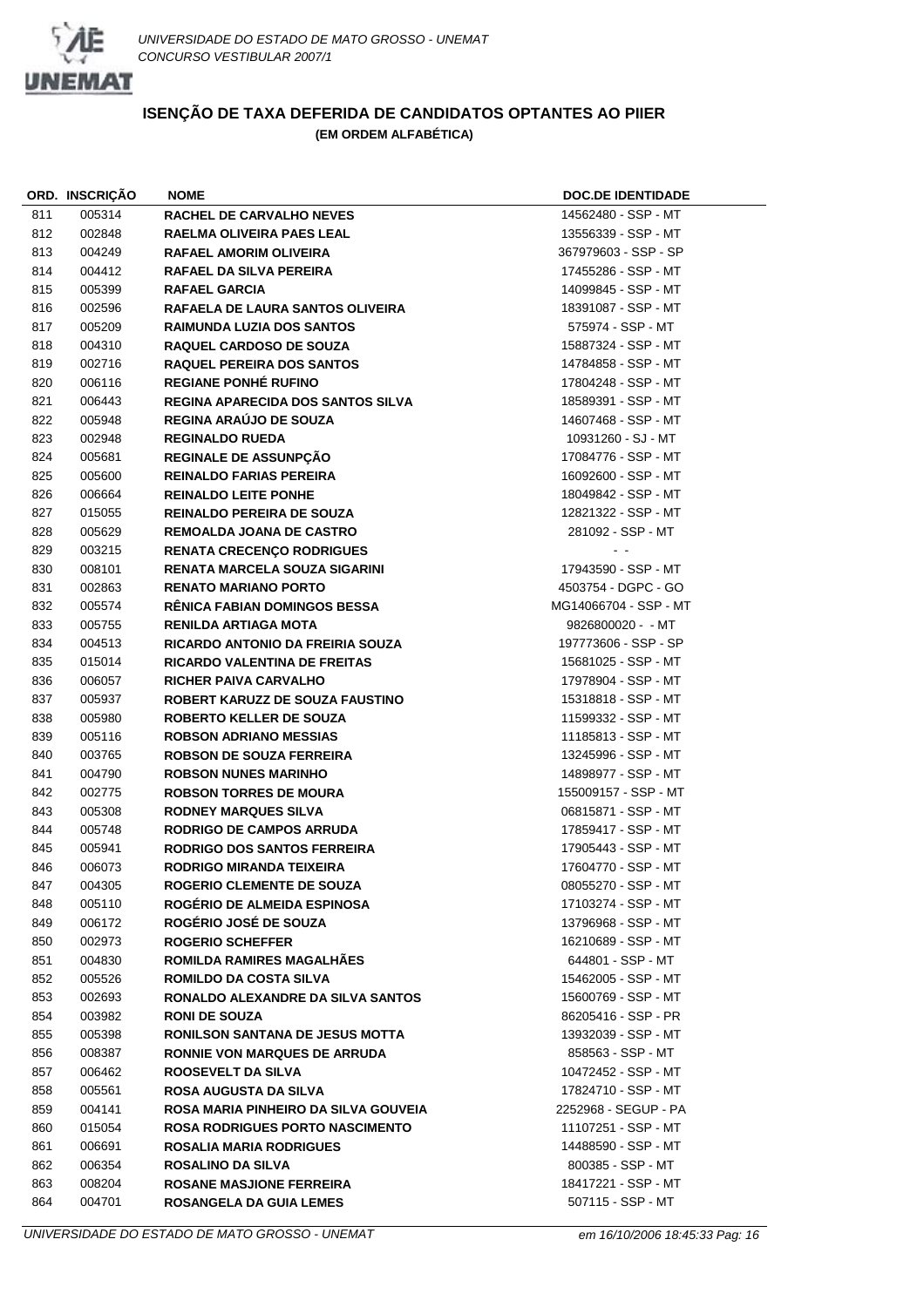

|     | ORD. INSCRIÇAO | <b>NOME</b>                              | <b>DOC.DE IDENTIDADE</b> |
|-----|----------------|------------------------------------------|--------------------------|
| 811 | 005314         | <b>RACHEL DE CARVALHO NEVES</b>          | 14562480 - SSP - MT      |
| 812 | 002848         | RAELMA OLIVEIRA PAES LEAL                | 13556339 - SSP - MT      |
| 813 | 004249         | <b>RAFAEL AMORIM OLIVEIRA</b>            | 367979603 - SSP - SP     |
| 814 | 004412         | RAFAEL DA SILVA PEREIRA                  | 17455286 - SSP - MT      |
| 815 | 005399         | <b>RAFAEL GARCIA</b>                     | 14099845 - SSP - MT      |
| 816 | 002596         | RAFAELA DE LAURA SANTOS OLIVEIRA         | 18391087 - SSP - MT      |
| 817 | 005209         | <b>RAIMUNDA LUZIA DOS SANTOS</b>         | 575974 - SSP - MT        |
| 818 | 004310         | <b>RAQUEL CARDOSO DE SOUZA</b>           | 15887324 - SSP - MT      |
| 819 | 002716         | <b>RAQUEL PEREIRA DOS SANTOS</b>         | 14784858 - SSP - MT      |
| 820 | 006116         | <b>REGIANE PONHÉ RUFINO</b>              | 17804248 - SSP - MT      |
| 821 | 006443         | <b>REGINA APARECIDA DOS SANTOS SILVA</b> | 18589391 - SSP - MT      |
| 822 | 005948         | <b>REGINA ARAÚJO DE SOUZA</b>            | 14607468 - SSP - MT      |
| 823 | 002948         | <b>REGINALDO RUEDA</b>                   | 10931260 - SJ - MT       |
| 824 | 005681         | <b>REGINALE DE ASSUNPÇÃO</b>             | 17084776 - SSP - MT      |
| 825 | 005600         | <b>REINALDO FARIAS PEREIRA</b>           | 16092600 - SSP - MT      |
| 826 | 006664         | <b>REINALDO LEITE PONHE</b>              | 18049842 - SSP - MT      |
| 827 | 015055         | <b>REINALDO PEREIRA DE SOUZA</b>         | 12821322 - SSP - MT      |
| 828 | 005629         | <b>REMOALDA JOANA DE CASTRO</b>          | 281092 - SSP - MT        |
| 829 | 003215         | <b>RENATA CRECENÇO RODRIGUES</b>         |                          |
| 830 | 008101         | <b>RENATA MARCELA SOUZA SIGARINI</b>     | 17943590 - SSP - MT      |
| 831 | 002863         | <b>RENATO MARIANO PORTO</b>              | 4503754 - DGPC - GO      |
| 832 | 005574         | <b>RÉNICA FABIAN DOMINGOS BESSA</b>      | MG14066704 - SSP - MT    |
| 833 | 005755         | <b>RENILDA ARTIAGA MOTA</b>              | 9826800020 - - MT        |
|     |                | RICARDO ANTONIO DA FREIRIA SOUZA         | 197773606 - SSP - SP     |
| 834 | 004513         |                                          |                          |
| 835 | 015014         | <b>RICARDO VALENTINA DE FREITAS</b>      | 15681025 - SSP - MT      |
| 836 | 006057         | <b>RICHER PAIVA CARVALHO</b>             | 17978904 - SSP - MT      |
| 837 | 005937         | ROBERT KARUZZ DE SOUZA FAUSTINO          | 15318818 - SSP - MT      |
| 838 | 005980         | ROBERTO KELLER DE SOUZA                  | 11599332 - SSP - MT      |
| 839 | 005116         | <b>ROBSON ADRIANO MESSIAS</b>            | 11185813 - SSP - MT      |
| 840 | 003765         | <b>ROBSON DE SOUZA FERREIRA</b>          | 13245996 - SSP - MT      |
| 841 | 004790         | <b>ROBSON NUNES MARINHO</b>              | 14898977 - SSP - MT      |
| 842 | 002775         | <b>ROBSON TORRES DE MOURA</b>            | 155009157 - SSP - MT     |
| 843 | 005308         | <b>RODNEY MARQUES SILVA</b>              | 06815871 - SSP - MT      |
| 844 | 005748         | <b>RODRIGO DE CAMPOS ARRUDA</b>          | 17859417 - SSP - MT      |
| 845 | 005941         | <b>RODRIGO DOS SANTOS FERREIRA</b>       | 17905443 - SSP - MT      |
| 846 | 006073         | RODRIGO MIRANDA TEIXEIRA                 | 17604770 - SSP - MT      |
| 847 | 004305         | <b>ROGERIO CLEMENTE DE SOUZA</b>         | 08055270 - SSP - MT      |
| 848 | 005110         | ROGÉRIO DE ALMEIDA ESPINOSA              | 17103274 - SSP - MT      |
| 849 | 006172         | ROGÉRIO JOSÉ DE SOUZA                    | 13796968 - SSP - MT      |
| 850 | 002973         | <b>ROGERIO SCHEFFER</b>                  | 16210689 - SSP - MT      |
| 851 | 004830         | <b>ROMILDA RAMIRES MAGALHÃES</b>         | 644801 - SSP - MT        |
| 852 | 005526         | <b>ROMILDO DA COSTA SILVA</b>            | 15462005 - SSP - MT      |
| 853 | 002693         | RONALDO ALEXANDRE DA SILVA SANTOS        | 15600769 - SSP - MT      |
| 854 | 003982         | <b>RONI DE SOUZA</b>                     | 86205416 - SSP - PR      |
| 855 | 005398         | <b>RONILSON SANTANA DE JESUS MOTTA</b>   | 13932039 - SSP - MT      |
| 856 | 008387         | RONNIE VON MARQUES DE ARRUDA             | 858563 - SSP - MT        |
| 857 | 006462         | ROOSEVELT DA SILVA                       | 10472452 - SSP - MT      |
| 858 | 005561         | ROSA AUGUSTA DA SILVA                    | 17824710 - SSP - MT      |
| 859 | 004141         | ROSA MARIA PINHEIRO DA SILVA GOUVEIA     | 2252968 - SEGUP - PA     |
| 860 | 015054         | <b>ROSA RODRIGUES PORTO NASCIMENTO</b>   | 11107251 - SSP - MT      |
| 861 | 006691         | <b>ROSALIA MARIA RODRIGUES</b>           | 14488590 - SSP - MT      |
| 862 | 006354         | <b>ROSALINO DA SILVA</b>                 | 800385 - SSP - MT        |
| 863 | 008204         | <b>ROSANE MASJIONE FERREIRA</b>          | 18417221 - SSP - MT      |
| 864 | 004701         | <b>ROSANGELA DA GUIA LEMES</b>           | 507115 - SSP - MT        |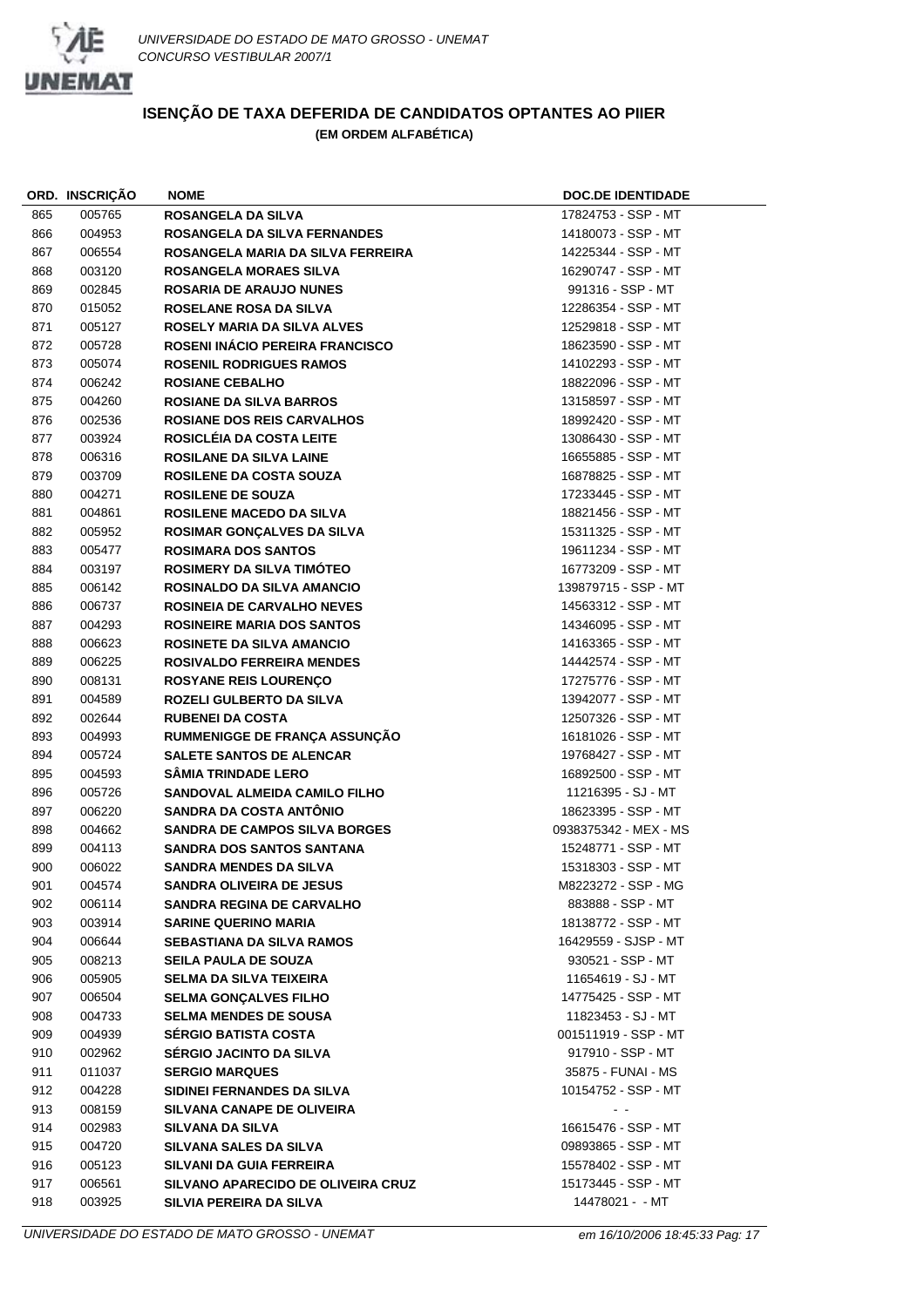

|     | ORD. INSCRIÇAO | <b>NOME</b>                          | <b>DOC.DE IDENTIDADE</b> |
|-----|----------------|--------------------------------------|--------------------------|
| 865 | 005765         | ROSANGELA DA SILVA                   | 17824753 - SSP - MT      |
| 866 | 004953         | <b>ROSANGELA DA SILVA FERNANDES</b>  | 14180073 - SSP - MT      |
| 867 | 006554         | ROSANGELA MARIA DA SILVA FERREIRA    | 14225344 - SSP - MT      |
| 868 | 003120         | <b>ROSANGELA MORAES SILVA</b>        | 16290747 - SSP - MT      |
| 869 | 002845         | <b>ROSARIA DE ARAUJO NUNES</b>       | 991316 - SSP - MT        |
| 870 | 015052         | ROSELANE ROSA DA SILVA               | 12286354 - SSP - MT      |
| 871 | 005127         | <b>ROSELY MARIA DA SILVA ALVES</b>   | 12529818 - SSP - MT      |
| 872 | 005728         | ROSENI INÁCIO PEREIRA FRANCISCO      | 18623590 - SSP - MT      |
| 873 | 005074         | <b>ROSENIL RODRIGUES RAMOS</b>       | 14102293 - SSP - MT      |
| 874 | 006242         | <b>ROSIANE CEBALHO</b>               | 18822096 - SSP - MT      |
| 875 | 004260         | <b>ROSIANE DA SILVA BARROS</b>       | 13158597 - SSP - MT      |
| 876 | 002536         | <b>ROSIANE DOS REIS CARVALHOS</b>    | 18992420 - SSP - MT      |
| 877 | 003924         | ROSICLÉIA DA COSTA LEITE             | 13086430 - SSP - MT      |
| 878 | 006316         | <b>ROSILANE DA SILVA LAINE</b>       | 16655885 - SSP - MT      |
| 879 | 003709         | <b>ROSILENE DA COSTA SOUZA</b>       | 16878825 - SSP - MT      |
| 880 | 004271         | <b>ROSILENE DE SOUZA</b>             | 17233445 - SSP - MT      |
| 881 | 004861         | <b>ROSILENE MACEDO DA SILVA</b>      | 18821456 - SSP - MT      |
| 882 | 005952         | <b>ROSIMAR GONCALVES DA SILVA</b>    | 15311325 - SSP - MT      |
| 883 | 005477         | <b>ROSIMARA DOS SANTOS</b>           | 19611234 - SSP - MT      |
| 884 | 003197         | <b>ROSIMERY DA SILVA TIMÓTEO</b>     | 16773209 - SSP - MT      |
| 885 | 006142         | ROSINALDO DA SILVA AMANCIO           | 139879715 - SSP - MT     |
| 886 | 006737         | <b>ROSINEIA DE CARVALHO NEVES</b>    | 14563312 - SSP - MT      |
| 887 | 004293         | <b>ROSINEIRE MARIA DOS SANTOS</b>    | 14346095 - SSP - MT      |
| 888 | 006623         | <b>ROSINETE DA SILVA AMANCIO</b>     | 14163365 - SSP - MT      |
| 889 | 006225         | <b>ROSIVALDO FERREIRA MENDES</b>     | 14442574 - SSP - MT      |
| 890 | 008131         | <b>ROSYANE REIS LOURENÇO</b>         | 17275776 - SSP - MT      |
| 891 | 004589         | ROZELI GULBERTO DA SILVA             | 13942077 - SSP - MT      |
| 892 | 002644         | <b>RUBENEI DA COSTA</b>              | 12507326 - SSP - MT      |
| 893 | 004993         | RUMMENIGGE DE FRANÇA ASSUNÇÃO        | 16181026 - SSP - MT      |
| 894 | 005724         | <b>SALETE SANTOS DE ALENCAR</b>      | 19768427 - SSP - MT      |
| 895 | 004593         | SÂMIA TRINDADE LERO                  | 16892500 - SSP - MT      |
| 896 | 005726         | SANDOVAL ALMEIDA CAMILO FILHO        | 11216395 - SJ - MT       |
| 897 | 006220         | SANDRA DA COSTA ANTÓNIO              | 18623395 - SSP - MT      |
| 898 | 004662         | <b>SANDRA DE CAMPOS SILVA BORGES</b> | 0938375342 - MEX - MS    |
| 899 | 004113         | <b>SANDRA DOS SANTOS SANTANA</b>     | 15248771 - SSP - MT      |
| 900 | 006022         | <b>SANDRA MENDES DA SILVA</b>        | 15318303 - SSP - MT      |
| 901 | 004574         | <b>SANDRA OLIVEIRA DE JESUS</b>      | M8223272 - SSP - MG      |
| 902 | 006114         | <b>SANDRA REGINA DE CARVALHO</b>     | 883888 - SSP - MT        |
| 903 | 003914         | <b>SARINE QUERINO MARIA</b>          | 18138772 - SSP - MT      |
| 904 | 006644         | <b>SEBASTIANA DA SILVA RAMOS</b>     | 16429559 - SJSP - MT     |
| 905 | 008213         | <b>SEILA PAULA DE SOUZA</b>          | 930521 - SSP - MT        |
| 906 | 005905         | <b>SELMA DA SILVA TEIXEIRA</b>       | 11654619 - SJ - MT       |
| 907 | 006504         | <b>SELMA GONÇALVES FILHO</b>         | 14775425 - SSP - MT      |
| 908 | 004733         | <b>SELMA MENDES DE SOUSA</b>         | 11823453 - SJ - MT       |
| 909 | 004939         | <b>SERGIO BATISTA COSTA</b>          | 001511919 - SSP - MT     |
| 910 | 002962         | SÉRGIO JACINTO DA SILVA              | 917910 - SSP - MT        |
| 911 | 011037         | <b>SERGIO MARQUES</b>                | 35875 - FUNAI - MS       |
| 912 | 004228         | SIDINEI FERNANDES DA SILVA           | 10154752 - SSP - MT      |
| 913 | 008159         | SILVANA CANAPE DE OLIVEIRA           |                          |
| 914 | 002983         | SILVANA DA SILVA                     | 16615476 - SSP - MT      |
| 915 | 004720         | SILVANA SALES DA SILVA               | 09893865 - SSP - MT      |
| 916 | 005123         | SILVANI DA GUIA FERREIRA             | 15578402 - SSP - MT      |
| 917 | 006561         | SILVANO APARECIDO DE OLIVEIRA CRUZ   | 15173445 - SSP - MT      |
| 918 | 003925         | SILVIA PEREIRA DA SILVA              | 14478021 - - MT          |
|     |                |                                      |                          |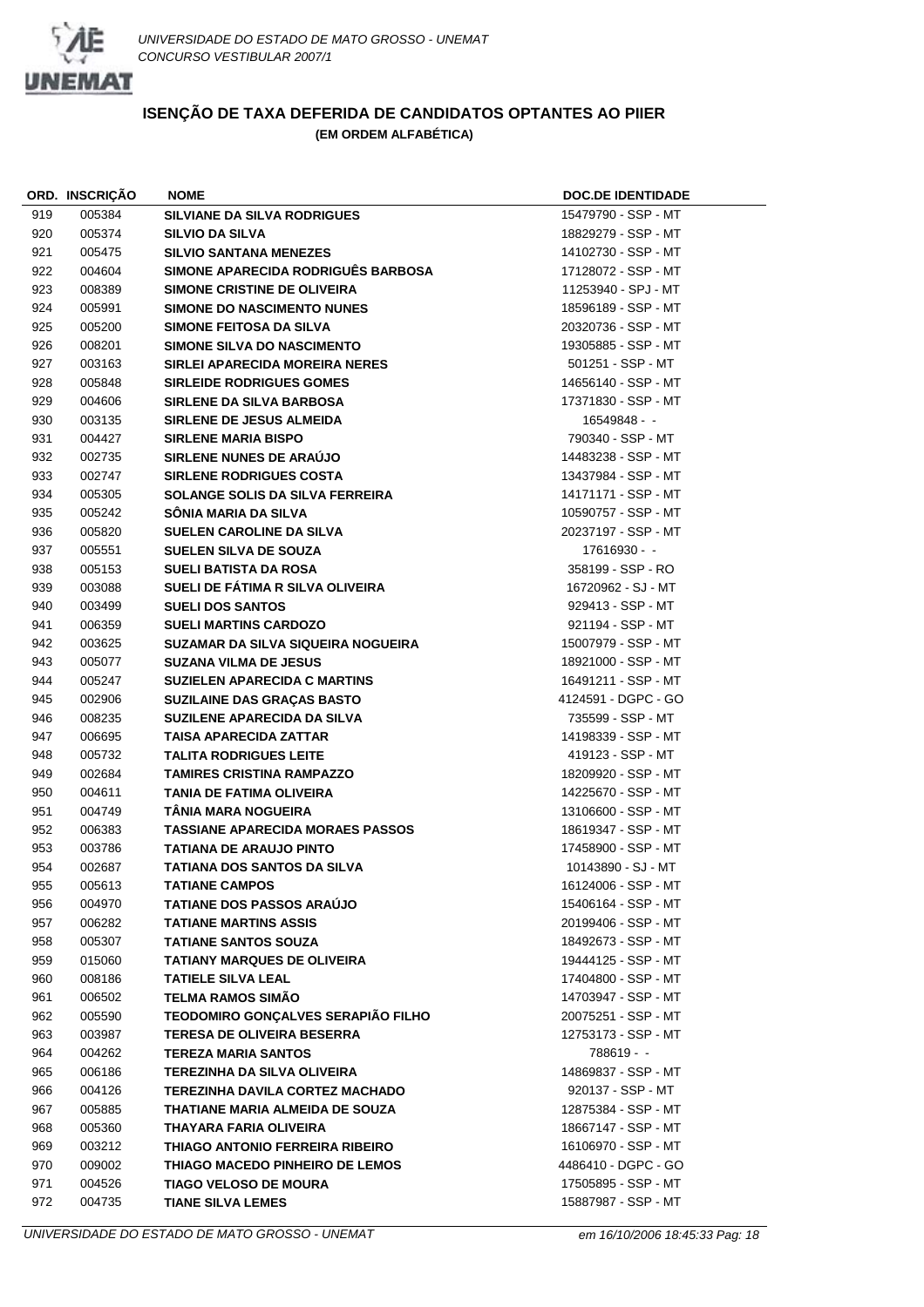

|     | ORD. INSCRIÇÃO | <b>NOME</b>                               | <b>DOC.DE IDENTIDADE</b> |
|-----|----------------|-------------------------------------------|--------------------------|
| 919 | 005384         | <b>SILVIANE DA SILVA RODRIGUES</b>        | 15479790 - SSP - MT      |
| 920 | 005374         | <b>SILVIO DA SILVA</b>                    | 18829279 - SSP - MT      |
| 921 | 005475         | <b>SILVIO SANTANA MENEZES</b>             | 14102730 - SSP - MT      |
| 922 | 004604         | SIMONE APARECIDA RODRIGUÊS BARBOSA        | 17128072 - SSP - MT      |
| 923 | 008389         | <b>SIMONE CRISTINE DE OLIVEIRA</b>        | 11253940 - SPJ - MT      |
| 924 | 005991         | <b>SIMONE DO NASCIMENTO NUNES</b>         | 18596189 - SSP - MT      |
| 925 | 005200         | <b>SIMONE FEITOSA DA SILVA</b>            | 20320736 - SSP - MT      |
| 926 | 008201         | <b>SIMONE SILVA DO NASCIMENTO</b>         | 19305885 - SSP - MT      |
| 927 | 003163         | <b>SIRLEI APARECIDA MOREIRA NERES</b>     | 501251 - SSP - MT        |
| 928 | 005848         | <b>SIRLEIDE RODRIGUES GOMES</b>           | 14656140 - SSP - MT      |
| 929 | 004606         | SIRLENE DA SILVA BARBOSA                  | 17371830 - SSP - MT      |
| 930 | 003135         | <b>SIRLENE DE JESUS ALMEIDA</b>           | 16549848 - -             |
| 931 | 004427         | <b>SIRLENE MARIA BISPO</b>                | 790340 - SSP - MT        |
| 932 | 002735         | SIRLENE NUNES DE ARAÚJO                   | 14483238 - SSP - MT      |
| 933 | 002747         | <b>SIRLENE RODRIGUES COSTA</b>            | 13437984 - SSP - MT      |
| 934 | 005305         | SOLANGE SOLIS DA SILVA FERREIRA           | 14171171 - SSP - MT      |
| 935 | 005242         | SONIA MARIA DA SILVA                      | 10590757 - SSP - MT      |
| 936 | 005820         | <b>SUELEN CAROLINE DA SILVA</b>           | 20237197 - SSP - MT      |
| 937 | 005551         | <b>SUELEN SILVA DE SOUZA</b>              | 17616930 - -             |
| 938 | 005153         | <b>SUELI BATISTA DA ROSA</b>              | 358199 - SSP - RO        |
| 939 | 003088         | SUELI DE FÁTIMA R SILVA OLIVEIRA          | 16720962 - SJ - MT       |
| 940 | 003499         | <b>SUELI DOS SANTOS</b>                   | 929413 - SSP - MT        |
| 941 | 006359         | <b>SUELI MARTINS CARDOZO</b>              | 921194 - SSP - MT        |
| 942 | 003625         | SUZAMAR DA SILVA SIQUEIRA NOGUEIRA        | 15007979 - SSP - MT      |
| 943 | 005077         | <b>SUZANA VILMA DE JESUS</b>              | 18921000 - SSP - MT      |
| 944 | 005247         | <b>SUZIELEN APARECIDA C MARTINS</b>       | 16491211 - SSP - MT      |
| 945 | 002906         | <b>SUZILAINE DAS GRAÇAS BASTO</b>         | 4124591 - DGPC - GO      |
| 946 | 008235         | SUZILENE APARECIDA DA SILVA               | 735599 - SSP - MT        |
| 947 | 006695         | TAISA APARECIDA ZATTAR                    | 14198339 - SSP - MT      |
| 948 | 005732         | <b>TALITA RODRIGUES LEITE</b>             | 419123 - SSP - MT        |
| 949 | 002684         | <b>TAMIRES CRISTINA RAMPAZZO</b>          | 18209920 - SSP - MT      |
| 950 | 004611         | <b>TANIA DE FATIMA OLIVEIRA</b>           | 14225670 - SSP - MT      |
| 951 | 004749         | TÂNIA MARA NOGUEIRA                       | 13106600 - SSP - MT      |
| 952 | 006383         | <b>TASSIANE APARECIDA MORAES PASSOS</b>   | 18619347 - SSP - MT      |
| 953 | 003786         | <b>TATIANA DE ARAUJO PINTO</b>            | 17458900 - SSP - MT      |
| 954 | 002687         | <b>TATIANA DOS SANTOS DA SILVA</b>        | 10143890 - SJ - MT       |
| 955 | 005613         | <b>TATIANE CAMPOS</b>                     | 16124006 - SSP - MT      |
| 956 | 004970         | <b>TATIANE DOS PASSOS ARAUJO</b>          | 15406164 - SSP - MT      |
| 957 | 006282         | <b>TATIANE MARTINS ASSIS</b>              | 20199406 - SSP - MT      |
| 958 | 005307         | <b>TATIANE SANTOS SOUZA</b>               | 18492673 - SSP - MT      |
| 959 | 015060         | <b>TATIANY MARQUES DE OLIVEIRA</b>        | 19444125 - SSP - MT      |
| 960 | 008186         | <b>TATIELE SILVA LEAL</b>                 | 17404800 - SSP - MT      |
| 961 | 006502         | <b>TELMA RAMOS SIMÃO</b>                  | 14703947 - SSP - MT      |
| 962 | 005590         | <b>TEODOMIRO GONCALVES SERAPIÃO FILHO</b> | 20075251 - SSP - MT      |
| 963 | 003987         | <b>TERESA DE OLIVEIRA BESERRA</b>         | 12753173 - SSP - MT      |
| 964 | 004262         | <b>TEREZA MARIA SANTOS</b>                | 788619 - -               |
| 965 | 006186         | TEREZINHA DA SILVA OLIVEIRA               | 14869837 - SSP - MT      |
| 966 | 004126         | TEREZINHA DAVILA CORTEZ MACHADO           | 920137 - SSP - MT        |
| 967 | 005885         | THATIANE MARIA ALMEIDA DE SOUZA           | 12875384 - SSP - MT      |
| 968 | 005360         | THAYARA FARIA OLIVEIRA                    | 18667147 - SSP - MT      |
| 969 | 003212         | THIAGO ANTONIO FERREIRA RIBEIRO           | 16106970 - SSP - MT      |
| 970 | 009002         | THIAGO MACEDO PINHEIRO DE LEMOS           | 4486410 - DGPC - GO      |
| 971 | 004526         | <b>TIAGO VELOSO DE MOURA</b>              | 17505895 - SSP - MT      |
| 972 | 004735         | <b>TIANE SILVA LEMES</b>                  | 15887987 - SSP - MT      |
|     |                |                                           |                          |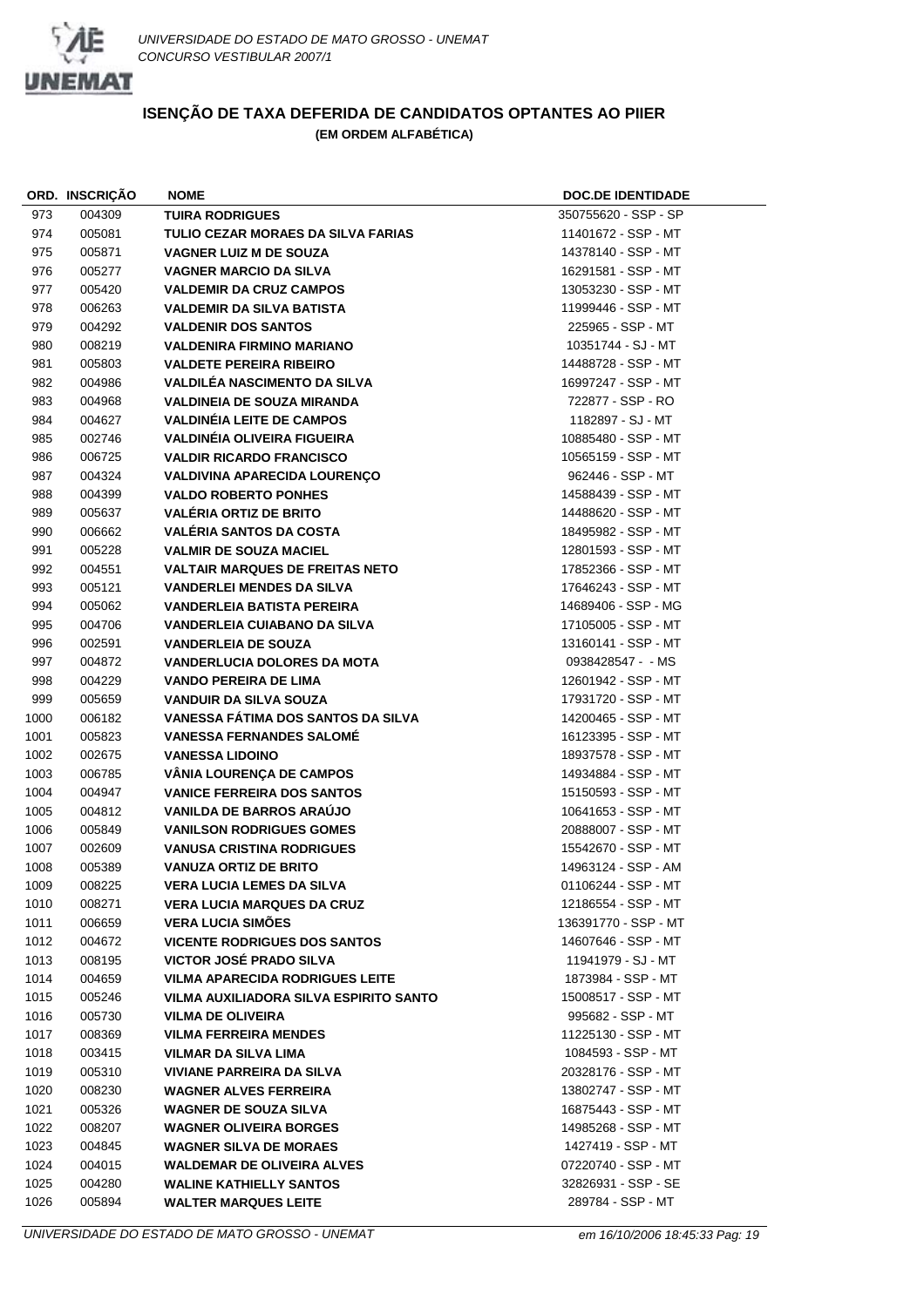

|              | ORD. INSCRIÇÃO | <b>NOME</b>                            | <b>DOC.DE IDENTIDADE</b> |
|--------------|----------------|----------------------------------------|--------------------------|
| 973          | 004309         | <b>TUIRA RODRIGUES</b>                 | 350755620 - SSP - SP     |
| 974          | 005081         | TULIO CEZAR MORAES DA SILVA FARIAS     | 11401672 - SSP - MT      |
| 975          | 005871         | <b>VAGNER LUIZ M DE SOUZA</b>          | 14378140 - SSP - MT      |
| 976          | 005277         | <b>VAGNER MARCIO DA SILVA</b>          | 16291581 - SSP - MT      |
| 977          | 005420         | <b>VALDEMIR DA CRUZ CAMPOS</b>         | 13053230 - SSP - MT      |
| 978          | 006263         | <b>VALDEMIR DA SILVA BATISTA</b>       | 11999446 - SSP - MT      |
| 979          | 004292         | <b>VALDENIR DOS SANTOS</b>             | 225965 - SSP - MT        |
| 980          | 008219         | <b>VALDENIRA FIRMINO MARIANO</b>       | 10351744 - SJ - MT       |
| 981          | 005803         | <b>VALDETE PEREIRA RIBEIRO</b>         | 14488728 - SSP - MT      |
| 982          | 004986         | <b>VALDILÉA NASCIMENTO DA SILVA</b>    | 16997247 - SSP - MT      |
| 983          | 004968         | <b>VALDINEIA DE SOUZA MIRANDA</b>      | 722877 - SSP - RO        |
| 984          | 004627         | <b>VALDINEIA LEITE DE CAMPOS</b>       | 1182897 - SJ - MT        |
| 985          | 002746         | <b>VALDINÉIA OLIVEIRA FIGUEIRA</b>     | 10885480 - SSP - MT      |
| 986          | 006725         | <b>VALDIR RICARDO FRANCISCO</b>        | 10565159 - SSP - MT      |
| 987          | 004324         | VALDIVINA APARECIDA LOURENÇO           | 962446 - SSP - MT        |
| 988          | 004399         | <b>VALDO ROBERTO PONHES</b>            | 14588439 - SSP - MT      |
| 989          | 005637         | <b>VALÉRIA ORTIZ DE BRITO</b>          | 14488620 - SSP - MT      |
| 990          | 006662         | <b>VALÉRIA SANTOS DA COSTA</b>         | 18495982 - SSP - MT      |
| 991          | 005228         | <b>VALMIR DE SOUZA MACIEL</b>          | 12801593 - SSP - MT      |
| 992          | 004551         | <b>VALTAIR MARQUES DE FREITAS NETO</b> | 17852366 - SSP - MT      |
| 993          | 005121         | <b>VANDERLEI MENDES DA SILVA</b>       | 17646243 - SSP - MT      |
| 994          | 005062         | <b>VANDERLEIA BATISTA PEREIRA</b>      | 14689406 - SSP - MG      |
| 995          | 004706         | <b>VANDERLEIA CUIABANO DA SILVA</b>    | 17105005 - SSP - MT      |
| 996          | 002591         | <b>VANDERLEIA DE SOUZA</b>             | 13160141 - SSP - MT      |
| 997          | 004872         | <b>VANDERLUCIA DOLORES DA MOTA</b>     | 0938428547 - - MS        |
| 998          | 004229         | <b>VANDO PEREIRA DE LIMA</b>           | 12601942 - SSP - MT      |
| 999          | 005659         | <b>VANDUIR DA SILVA SOUZA</b>          | 17931720 - SSP - MT      |
| 1000         | 006182         | VANESSA FATIMA DOS SANTOS DA SILVA     | 14200465 - SSP - MT      |
| 1001         | 005823         | <b>VANESSA FERNANDES SALOME</b>        | 16123395 - SSP - MT      |
| 1002         | 002675         | <b>VANESSA LIDOINO</b>                 | 18937578 - SSP - MT      |
| 1003         | 006785         | VÂNIA LOURENÇA DE CAMPOS               | 14934884 - SSP - MT      |
| 1004         | 004947         | <b>VANICE FERREIRA DOS SANTOS</b>      | 15150593 - SSP - MT      |
| 1005         | 004812         | <b>VANILDA DE BARROS ARAÚJO</b>        | 10641653 - SSP - MT      |
| 1006         | 005849         | <b>VANILSON RODRIGUES GOMES</b>        | 20888007 - SSP - MT      |
| 1007         | 002609         | <b>VANUSA CRISTINA RODRIGUES</b>       | 15542670 - SSP - MT      |
| 1008         | 005389         | <b>VANUZA ORTIZ DE BRITO</b>           | 14963124 - SSP - AM      |
| 1009         | 008225         | <b>VERA LUCIA LEMES DA SILVA</b>       | 01106244 - SSP - MT      |
| 1010         | 008271         | <b>VERA LUCIA MARQUES DA CRUZ</b>      | 12186554 - SSP - MT      |
| 1011         | 006659         | <b>VERA LUCIA SIMÕES</b>               | 136391770 - SSP - MT     |
| 1012         | 004672         | <b>VICENTE RODRIGUES DOS SANTOS</b>    | 14607646 - SSP - MT      |
| 1013         | 008195         | <b>VICTOR JOSE PRADO SILVA</b>         | 11941979 - SJ - MT       |
| 1014         | 004659         | <b>VILMA APARECIDA RODRIGUES LEITE</b> | 1873984 - SSP - MT       |
| 1015         | 005246         | VILMA AUXILIADORA SILVA ESPIRITO SANTO | 15008517 - SSP - MT      |
| 1016         | 005730         | <b>VILMA DE OLIVEIRA</b>               | 995682 - SSP - MT        |
| 1017         | 008369         | <b>VILMA FERREIRA MENDES</b>           | 11225130 - SSP - MT      |
| 1018         | 003415         | <b>VILMAR DA SILVA LIMA</b>            | 1084593 - SSP - MT       |
|              | 005310         | VIVIANE PARREIRA DA SILVA              | 20328176 - SSP - MT      |
| 1019<br>1020 | 008230         | <b>WAGNER ALVES FERREIRA</b>           | 13802747 - SSP - MT      |
| 1021         | 005326         | <b>WAGNER DE SOUZA SILVA</b>           | 16875443 - SSP - MT      |
| 1022         | 008207         | <b>WAGNER OLIVEIRA BORGES</b>          | 14985268 - SSP - MT      |
| 1023         | 004845         | <b>WAGNER SILVA DE MORAES</b>          | 1427419 - SSP - MT       |
| 1024         |                | <b>WALDEMAR DE OLIVEIRA ALVES</b>      | 07220740 - SSP - MT      |
|              | 004015         |                                        |                          |
| 1025         | 004280         | <b>WALINE KATHIELLY SANTOS</b>         | 32826931 - SSP - SE      |
| 1026         | 005894         | <b>WALTER MARQUES LEITE</b>            | 289784 - SSP - MT        |